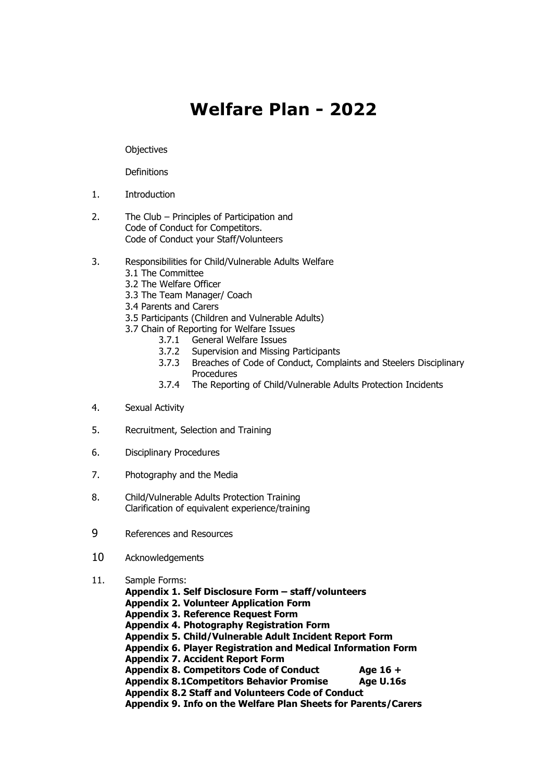# **Welfare Plan - 2022**

**Objectives** 

**Definitions** 

- 1. Introduction
- 2. The Club Principles of Participation and Code of Conduct for Competitors. Code of Conduct your Staff/Volunteers
- 3. Responsibilities for Child/Vulnerable Adults Welfare
	- 3.1 The Committee
	- 3.2 The Welfare Officer
	- 3.3 The Team Manager/ Coach
	- 3.4 Parents and Carers
	- 3.5 Participants (Children and Vulnerable Adults)
	- 3.7 Chain of Reporting for Welfare Issues
		- 3.7.1 General Welfare Issues
		- 3.7.2 Supervision and Missing Participants
		- 3.7.3 Breaches of Code of Conduct, Complaints and Steelers Disciplinary **Procedures**
		- 3.7.4 The Reporting of Child/Vulnerable Adults Protection Incidents
- 4. Sexual Activity
- 5. Recruitment, Selection and Training
- 6. Disciplinary Procedures
- 7. Photography and the Media
- 8. Child/Vulnerable Adults Protection Training Clarification of equivalent experience/training
- 9 References and Resources
- 10 Acknowledgements
- 11. Sample Forms:
	- **Appendix 1. Self Disclosure Form – staff/volunteers**
		- **Appendix 2. Volunteer Application Form**
		- **Appendix 3. Reference Request Form**
		- **Appendix 4. Photography Registration Form**
		- **Appendix 5. Child/Vulnerable Adult Incident Report Form**
		- **Appendix 6. Player Registration and Medical Information Form**
	- **Appendix 7. Accident Report Form**
	- **Appendix 8. Competitors Code of Conduct Age 16 +**
	- **Appendix 8.1Competitors Behavior Promise Age U.16s**
	- **Appendix 8.2 Staff and Volunteers Code of Conduct**

**Appendix 9. Info on the Welfare Plan Sheets for Parents/Carers**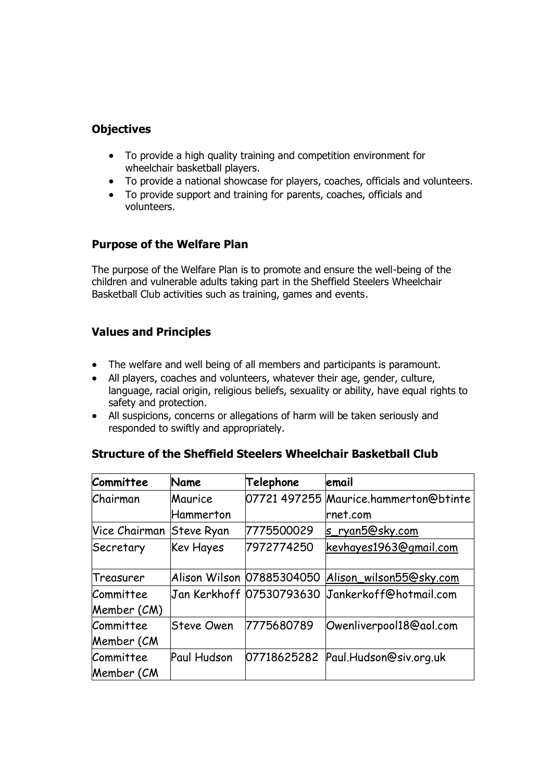# **Objectives**

- To provide a high quality training and competition environment for wheelchair basketball players.
- To provide a national showcase for players, coaches, officials and volunteers.
- To provide support and training for parents, coaches, officials and volunteers.

### **Purpose of the Welfare Plan**

The purpose of the Welfare Plan is to promote and ensure the well-being of the children and vulnerable adults taking part in the Sheffield Steelers Wheelchair Basketball Club activities such as training, games and events.

# **Values and Principles**

- The welfare and well being of all members and participants is paramount.
- All players, coaches and volunteers, whatever their age, gender, culture, language, racial origin, religious beliefs, sexuality or ability, have equal rights to safety and protection.
- All suspicions, concerns or allegations of harm will be taken seriously and responded to swiftly and appropriately.

| Structure of the Sheffield Steelers Wheelchair Basketball Club |  |  |  |  |  |
|----------------------------------------------------------------|--|--|--|--|--|
|----------------------------------------------------------------|--|--|--|--|--|

| Committee                | Name              | Telephone  | email                                 |
|--------------------------|-------------------|------------|---------------------------------------|
| Chairman                 | Maurice           |            | 07721 497255 Maurice.hammerton@btinte |
|                          | Hammerton         |            | rnet.com                              |
| Vice Chairman            | <b>Steve Ryan</b> | 7775500029 | s_ryan5@sky.com                       |
| Secretary                | Kev Hayes         | 7972774250 | kevhayes1963@gmail.com                |
| Treasurer                |                   |            |                                       |
| Committee<br>Member (CM) |                   |            |                                       |
| Committee<br>Member (CM  | <b>Steve Owen</b> | 7775680789 | Owenliverpool18@aol.com               |
| Committee<br>Member (CM  | Paul Hudson       |            | 07718625282 Paul.Hudson@siv.org.uk    |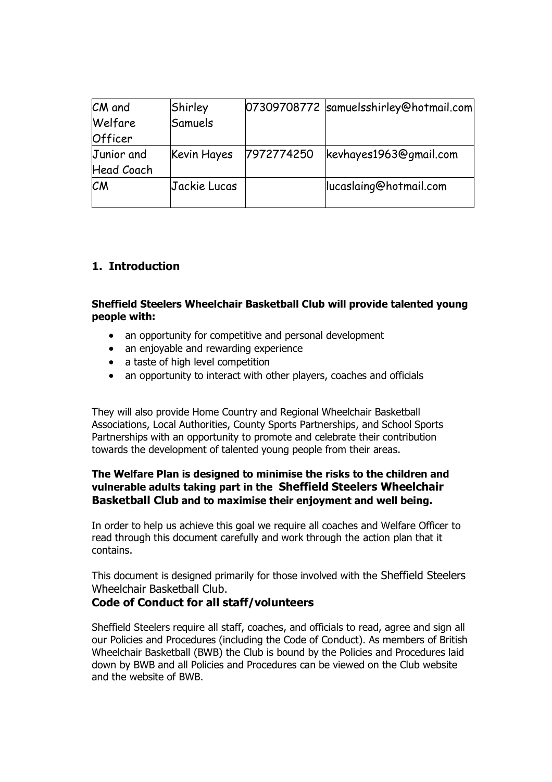| CM and            | Shirley      |            | 07309708772 samuelsshirley@hotmail.com |
|-------------------|--------------|------------|----------------------------------------|
| Welfare           | Samuels      |            |                                        |
| Officer           |              |            |                                        |
| Junior and        | Kevin Hayes  | 7972774250 | kevhayes1963@gmail.com                 |
| <b>Head Coach</b> |              |            |                                        |
| <b>CM</b>         | Jackie Lucas |            | lucaslaing@hotmail.com                 |

# **1. Introduction**

#### **Sheffield Steelers Wheelchair Basketball Club will provide talented young people with:**

- an opportunity for competitive and personal development
- an enjoyable and rewarding experience
- a taste of high level competition
- an opportunity to interact with other players, coaches and officials

They will also provide Home Country and Regional Wheelchair Basketball Associations, Local Authorities, County Sports Partnerships, and School Sports Partnerships with an opportunity to promote and celebrate their contribution towards the development of talented young people from their areas.

#### **The Welfare Plan is designed to minimise the risks to the children and vulnerable adults taking part in the Sheffield Steelers Wheelchair Basketball Club and to maximise their enjoyment and well being.**

In order to help us achieve this goal we require all coaches and Welfare Officer to read through this document carefully and work through the action plan that it contains.

This document is designed primarily for those involved with the Sheffield Steelers Wheelchair Basketball Club.

### **Code of Conduct for all staff/volunteers**

Sheffield Steelers require all staff, coaches, and officials to read, agree and sign all our Policies and Procedures (including the Code of Conduct). As members of British Wheelchair Basketball (BWB) the Club is bound by the Policies and Procedures laid down by BWB and all Policies and Procedures can be viewed on the Club website and the website of BWB.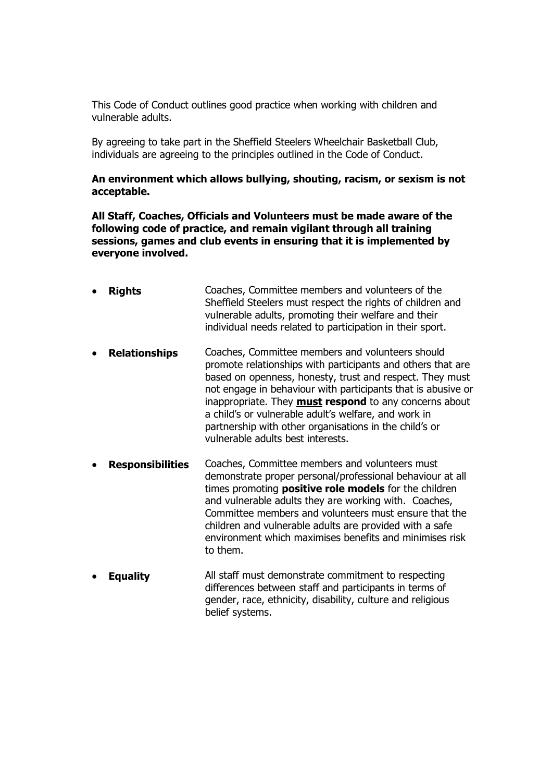This Code of Conduct outlines good practice when working with children and vulnerable adults.

By agreeing to take part in the Sheffield Steelers Wheelchair Basketball Club, individuals are agreeing to the principles outlined in the Code of Conduct.

#### **An environment which allows bullying, shouting, racism, or sexism is not acceptable.**

**All Staff, Coaches, Officials and Volunteers must be made aware of the following code of practice, and remain vigilant through all training sessions, games and club events in ensuring that it is implemented by everyone involved.**

- **Rights** Coaches, Committee members and volunteers of the Sheffield Steelers must respect the rights of children and vulnerable adults, promoting their welfare and their individual needs related to participation in their sport.
- **Relationships** Coaches, Committee members and volunteers should promote relationships with participants and others that are based on openness, honesty, trust and respect. They must not engage in behaviour with participants that is abusive or inappropriate. They **must respond** to any concerns about a child's or vulnerable adult's welfare, and work in partnership with other organisations in the child's or vulnerable adults best interests.
- **Responsibilities** Coaches, Committee members and volunteers must demonstrate proper personal/professional behaviour at all times promoting **positive role models** for the children and vulnerable adults they are working with. Coaches, Committee members and volunteers must ensure that the children and vulnerable adults are provided with a safe environment which maximises benefits and minimises risk to them.
- **Equality** All staff must demonstrate commitment to respecting differences between staff and participants in terms of gender, race, ethnicity, disability, culture and religious belief systems.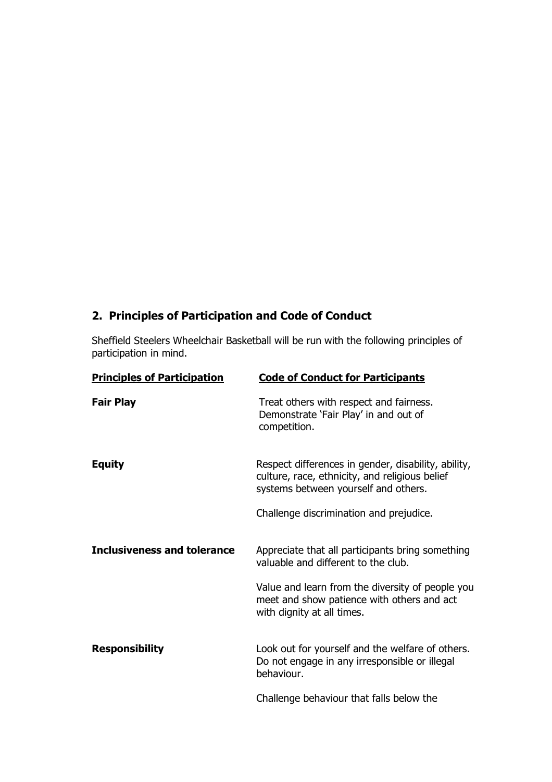# **2. Principles of Participation and Code of Conduct**

Sheffield Steelers Wheelchair Basketball will be run with the following principles of participation in mind.

| <b>Principles of Participation</b> | <b>Code of Conduct for Participants</b>                                                                                                       |
|------------------------------------|-----------------------------------------------------------------------------------------------------------------------------------------------|
| <b>Fair Play</b>                   | Treat others with respect and fairness.<br>Demonstrate 'Fair Play' in and out of<br>competition.                                              |
| <b>Equity</b>                      | Respect differences in gender, disability, ability,<br>culture, race, ethnicity, and religious belief<br>systems between yourself and others. |
|                                    | Challenge discrimination and prejudice.                                                                                                       |
|                                    |                                                                                                                                               |
| Inclusiveness and tolerance        | Appreciate that all participants bring something<br>valuable and different to the club.                                                       |
|                                    | Value and learn from the diversity of people you<br>meet and show patience with others and act<br>with dignity at all times.                  |
| <b>Responsibility</b>              | Look out for yourself and the welfare of others.<br>Do not engage in any irresponsible or illegal<br>behaviour.                               |
|                                    | Challenge behaviour that falls below the                                                                                                      |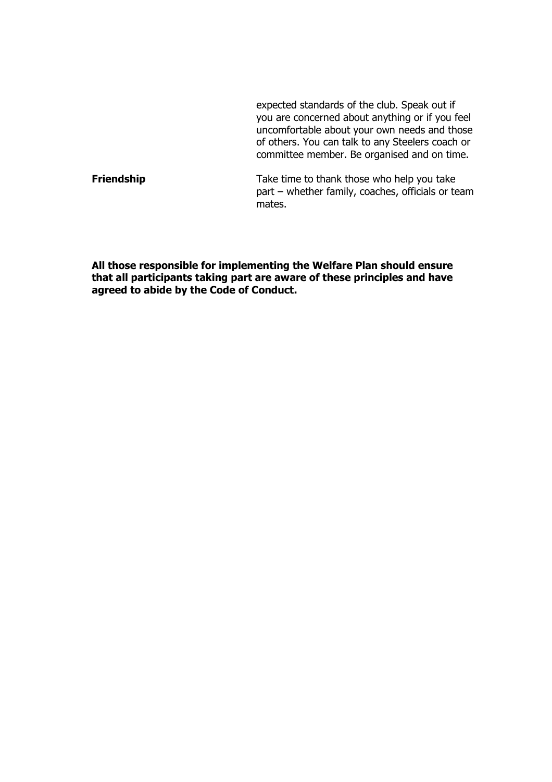expected standards of the club. Speak out if you are concerned about anything or if you feel uncomfortable about your own needs and those of others. You can talk to any Steelers coach or committee member. Be organised and on time.

**Friendship** Take time to thank those who help you take part – whether family, coaches, officials or team mates.

**All those responsible for implementing the Welfare Plan should ensure that all participants taking part are aware of these principles and have agreed to abide by the Code of Conduct.**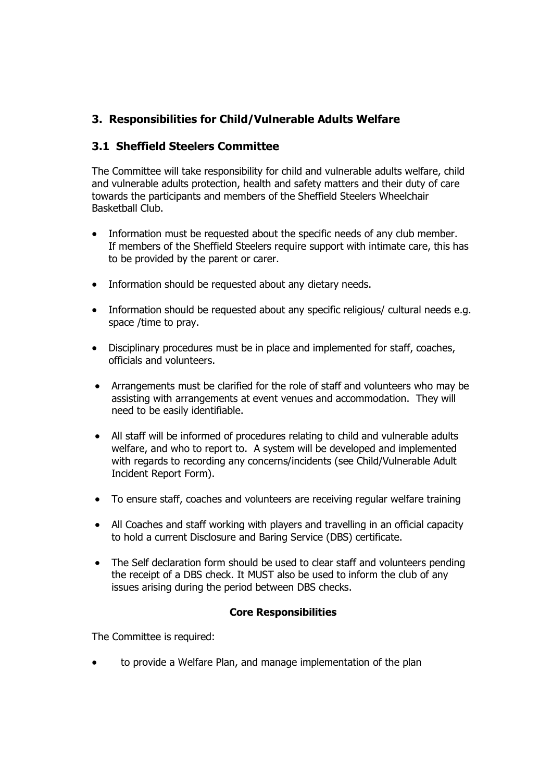# **3. Responsibilities for Child/Vulnerable Adults Welfare**

# **3.1 Sheffield Steelers Committee**

The Committee will take responsibility for child and vulnerable adults welfare, child and vulnerable adults protection, health and safety matters and their duty of care towards the participants and members of the Sheffield Steelers Wheelchair Basketball Club.

- Information must be requested about the specific needs of any club member. If members of the Sheffield Steelers require support with intimate care, this has to be provided by the parent or carer.
- Information should be requested about any dietary needs.
- Information should be requested about any specific religious/ cultural needs e.g. space /time to pray.
- Disciplinary procedures must be in place and implemented for staff, coaches, officials and volunteers.
- Arrangements must be clarified for the role of staff and volunteers who may be assisting with arrangements at event venues and accommodation. They will need to be easily identifiable.
- All staff will be informed of procedures relating to child and vulnerable adults welfare, and who to report to. A system will be developed and implemented with regards to recording any concerns/incidents (see Child/Vulnerable Adult Incident Report Form).
- To ensure staff, coaches and volunteers are receiving regular welfare training
- All Coaches and staff working with players and travelling in an official capacity to hold a current Disclosure and Baring Service (DBS) certificate.
- The Self declaration form should be used to clear staff and volunteers pending the receipt of a DBS check. It MUST also be used to inform the club of any issues arising during the period between DBS checks.

### **Core Responsibilities**

The Committee is required:

• to provide a Welfare Plan, and manage implementation of the plan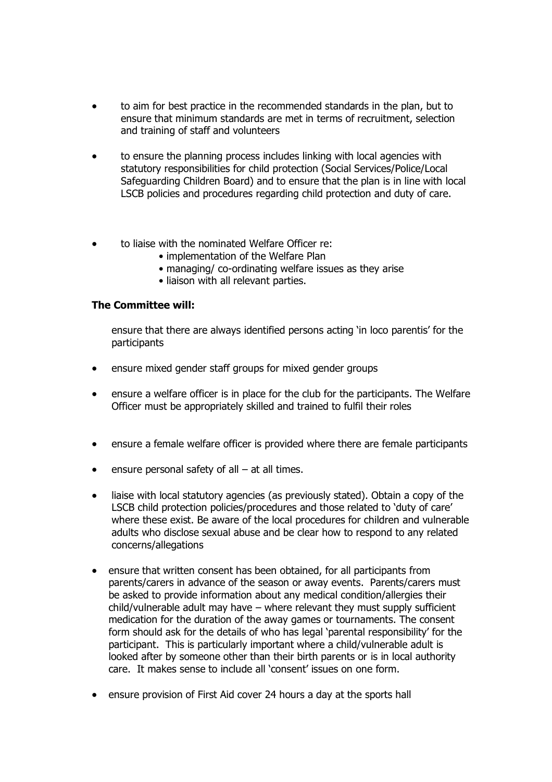- to aim for best practice in the recommended standards in the plan, but to ensure that minimum standards are met in terms of recruitment, selection and training of staff and volunteers
- to ensure the planning process includes linking with local agencies with statutory responsibilities for child protection (Social Services/Police/Local Safeguarding Children Board) and to ensure that the plan is in line with local LSCB policies and procedures regarding child protection and duty of care.
- to liaise with the nominated Welfare Officer re:
	- implementation of the Welfare Plan
		- managing/ co-ordinating welfare issues as they arise
		- liaison with all relevant parties.

#### **The Committee will:**

ensure that there are always identified persons acting 'in loco parentis' for the participants

- ensure mixed gender staff groups for mixed gender groups
- ensure a welfare officer is in place for the club for the participants. The Welfare Officer must be appropriately skilled and trained to fulfil their roles
- ensure a female welfare officer is provided where there are female participants
- ensure personal safety of all  $-$  at all times.
- liaise with local statutory agencies (as previously stated). Obtain a copy of the LSCB child protection policies/procedures and those related to 'duty of care' where these exist. Be aware of the local procedures for children and vulnerable adults who disclose sexual abuse and be clear how to respond to any related concerns/allegations
- ensure that written consent has been obtained, for all participants from parents/carers in advance of the season or away events. Parents/carers must be asked to provide information about any medical condition/allergies their child/vulnerable adult may have – where relevant they must supply sufficient medication for the duration of the away games or tournaments. The consent form should ask for the details of who has legal 'parental responsibility' for the participant. This is particularly important where a child/vulnerable adult is looked after by someone other than their birth parents or is in local authority care. It makes sense to include all 'consent' issues on one form.
- ensure provision of First Aid cover 24 hours a day at the sports hall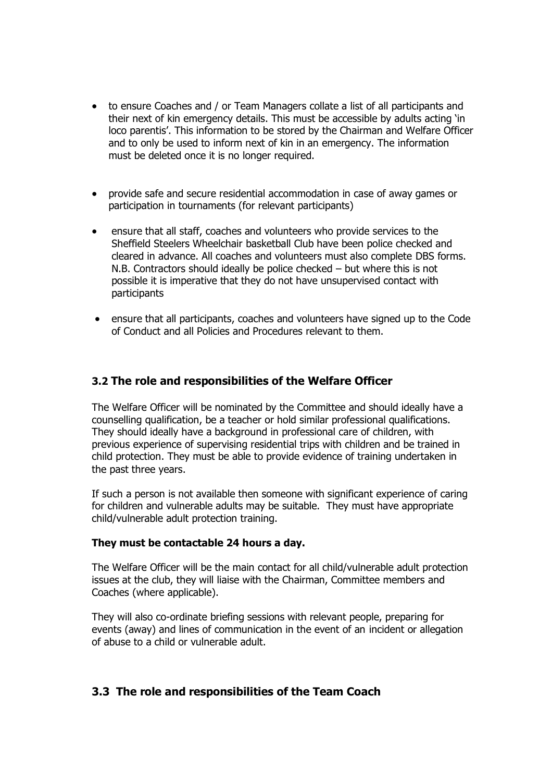- to ensure Coaches and / or Team Managers collate a list of all participants and their next of kin emergency details. This must be accessible by adults acting 'in loco parentis'. This information to be stored by the Chairman and Welfare Officer and to only be used to inform next of kin in an emergency. The information must be deleted once it is no longer required.
- provide safe and secure residential accommodation in case of away games or participation in tournaments (for relevant participants)
- ensure that all staff, coaches and volunteers who provide services to the Sheffield Steelers Wheelchair basketball Club have been police checked and cleared in advance. All coaches and volunteers must also complete DBS forms. N.B. Contractors should ideally be police checked – but where this is not possible it is imperative that they do not have unsupervised contact with participants
- ensure that all participants, coaches and volunteers have signed up to the Code of Conduct and all Policies and Procedures relevant to them.

### **3.2 The role and responsibilities of the Welfare Officer**

The Welfare Officer will be nominated by the Committee and should ideally have a counselling qualification, be a teacher or hold similar professional qualifications. They should ideally have a background in professional care of children, with previous experience of supervising residential trips with children and be trained in child protection. They must be able to provide evidence of training undertaken in the past three years.

If such a person is not available then someone with significant experience of caring for children and vulnerable adults may be suitable. They must have appropriate child/vulnerable adult protection training.

### **They must be contactable 24 hours a day.**

The Welfare Officer will be the main contact for all child/vulnerable adult protection issues at the club, they will liaise with the Chairman, Committee members and Coaches (where applicable).

They will also co-ordinate briefing sessions with relevant people, preparing for events (away) and lines of communication in the event of an incident or allegation of abuse to a child or vulnerable adult.

### **3.3 The role and responsibilities of the Team Coach**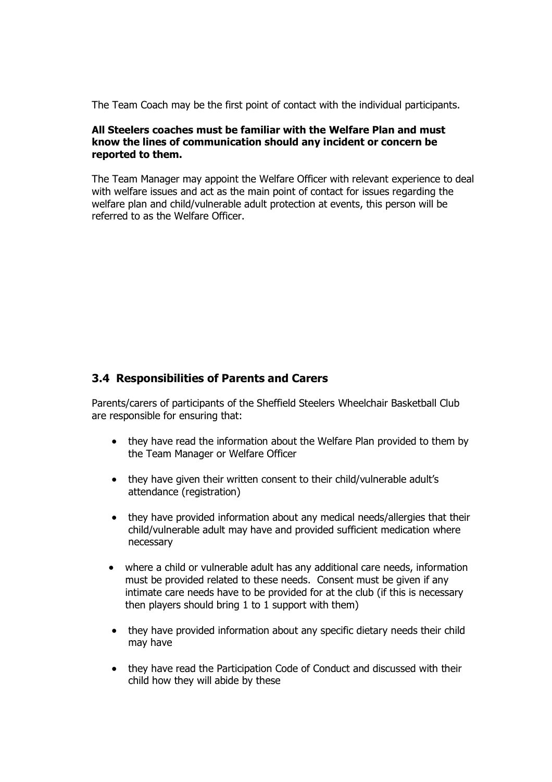The Team Coach may be the first point of contact with the individual participants.

#### **All Steelers coaches must be familiar with the Welfare Plan and must know the lines of communication should any incident or concern be reported to them.**

The Team Manager may appoint the Welfare Officer with relevant experience to deal with welfare issues and act as the main point of contact for issues regarding the welfare plan and child/vulnerable adult protection at events, this person will be referred to as the Welfare Officer.

### **3.4 Responsibilities of Parents and Carers**

Parents/carers of participants of the Sheffield Steelers Wheelchair Basketball Club are responsible for ensuring that:

- they have read the information about the Welfare Plan provided to them by the Team Manager or Welfare Officer
- they have given their written consent to their child/vulnerable adult's attendance (registration)
- they have provided information about any medical needs/allergies that their child/vulnerable adult may have and provided sufficient medication where necessary
- where a child or vulnerable adult has any additional care needs, information must be provided related to these needs. Consent must be given if any intimate care needs have to be provided for at the club (if this is necessary then players should bring 1 to 1 support with them)
- they have provided information about any specific dietary needs their child may have
- they have read the Participation Code of Conduct and discussed with their child how they will abide by these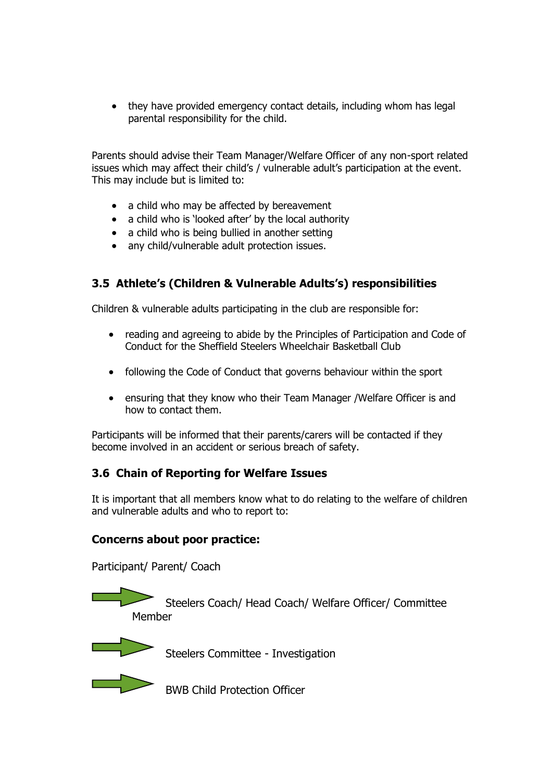• they have provided emergency contact details, including whom has legal parental responsibility for the child.

Parents should advise their Team Manager/Welfare Officer of any non-sport related issues which may affect their child's / vulnerable adult's participation at the event. This may include but is limited to:

- a child who may be affected by bereavement
- a child who is 'looked after' by the local authority
- a child who is being bullied in another setting
- any child/vulnerable adult protection issues.

# **3.5 Athlete's (Children & Vulnerable Adults's) responsibilities**

Children & vulnerable adults participating in the club are responsible for:

- reading and agreeing to abide by the Principles of Participation and Code of Conduct for the Sheffield Steelers Wheelchair Basketball Club
- following the Code of Conduct that governs behaviour within the sport
- ensuring that they know who their Team Manager /Welfare Officer is and how to contact them.

Participants will be informed that their parents/carers will be contacted if they become involved in an accident or serious breach of safety.

### **3.6 Chain of Reporting for Welfare Issues**

It is important that all members know what to do relating to the welfare of children and vulnerable adults and who to report to:

### **Concerns about poor practice:**

Participant/ Parent/ Coach

 Steelers Coach/ Head Coach/ Welfare Officer/ Committee Member



Steelers Committee - Investigation



**BWB Child Protection Officer**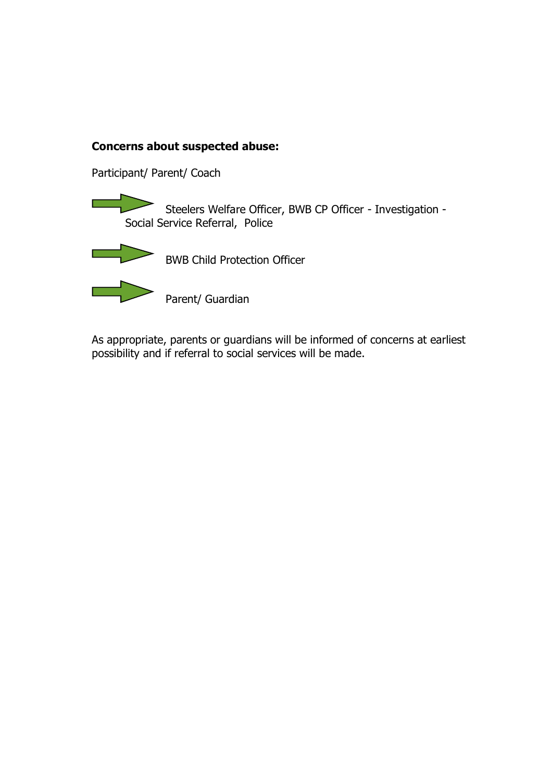# **Concerns about suspected abuse:**

Participant/ Parent/ Coach

Steelers Welfare Officer, BWB CP Officer - Investigation -Social Service Referral, Police



BWB Child Protection Officer

Parent/ Guardian

As appropriate, parents or guardians will be informed of concerns at earliest possibility and if referral to social services will be made.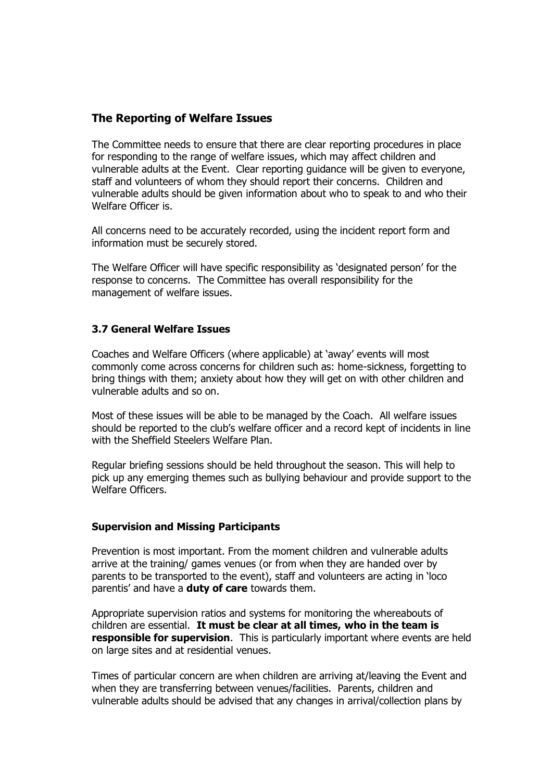### **The Reporting of Welfare Issues**

The Committee needs to ensure that there are clear reporting procedures in place for responding to the range of welfare issues, which may affect children and vulnerable adults at the Event. Clear reporting guidance will be given to everyone, staff and volunteers of whom they should report their concerns. Children and vulnerable adults should be given information about who to speak to and who their Welfare Officer is.

All concerns need to be accurately recorded, using the incident report form and information must be securely stored.

The Welfare Officer will have specific responsibility as 'designated person' for the response to concerns. The Committee has overall responsibility for the management of welfare issues.

#### **3.7 General Welfare Issues**

Coaches and Welfare Officers (where applicable) at 'away' events will most commonly come across concerns for children such as: home-sickness, forgetting to bring things with them; anxiety about how they will get on with other children and vulnerable adults and so on.

Most of these issues will be able to be managed by the Coach. All welfare issues should be reported to the club's welfare officer and a record kept of incidents in line with the Sheffield Steelers Welfare Plan.

Regular briefing sessions should be held throughout the season. This will help to pick up any emerging themes such as bullying behaviour and provide support to the Welfare Officers.

#### **Supervision and Missing Participants**

Prevention is most important. From the moment children and vulnerable adults arrive at the training/ games venues (or from when they are handed over by parents to be transported to the event), staff and volunteers are acting in 'loco parentis' and have a **duty of care** towards them.

Appropriate supervision ratios and systems for monitoring the whereabouts of children are essential. **It must be clear at all times, who in the team is responsible for supervision**. This is particularly important where events are held on large sites and at residential venues.

Times of particular concern are when children are arriving at/leaving the Event and when they are transferring between venues/facilities. Parents, children and vulnerable adults should be advised that any changes in arrival/collection plans by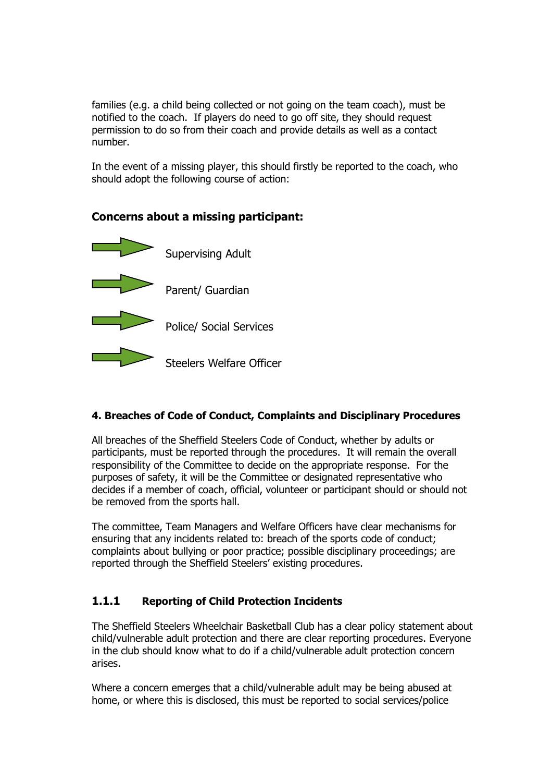families (e.g. a child being collected or not going on the team coach), must be notified to the coach. If players do need to go off site, they should request permission to do so from their coach and provide details as well as a contact number.

In the event of a missing player, this should firstly be reported to the coach, who should adopt the following course of action:

### **Concerns about a missing participant:**



### **4. Breaches of Code of Conduct, Complaints and Disciplinary Procedures**

All breaches of the Sheffield Steelers Code of Conduct, whether by adults or participants, must be reported through the procedures. It will remain the overall responsibility of the Committee to decide on the appropriate response. For the purposes of safety, it will be the Committee or designated representative who decides if a member of coach, official, volunteer or participant should or should not be removed from the sports hall.

The committee, Team Managers and Welfare Officers have clear mechanisms for ensuring that any incidents related to: breach of the sports code of conduct; complaints about bullying or poor practice; possible disciplinary proceedings; are reported through the Sheffield Steelers' existing procedures.

### **1.1.1 Reporting of Child Protection Incidents**

The Sheffield Steelers Wheelchair Basketball Club has a clear policy statement about child/vulnerable adult protection and there are clear reporting procedures. Everyone in the club should know what to do if a child/vulnerable adult protection concern arises.

Where a concern emerges that a child/vulnerable adult may be being abused at home, or where this is disclosed, this must be reported to social services/police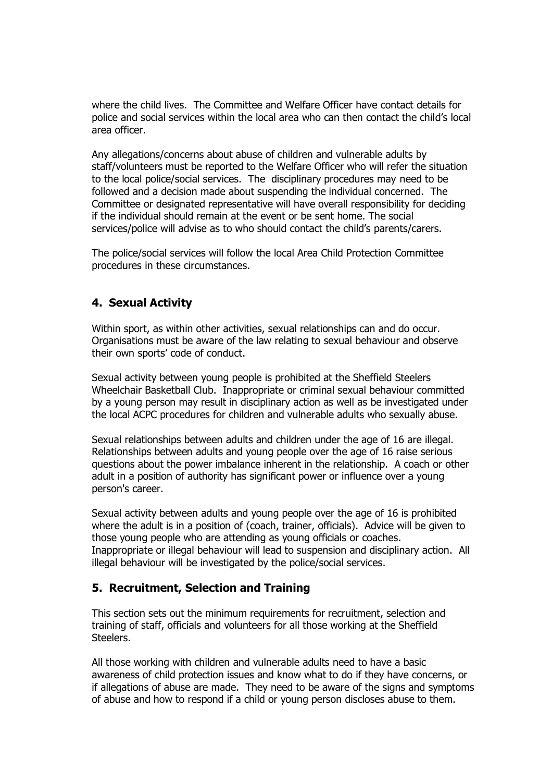where the child lives. The Committee and Welfare Officer have contact details for police and social services within the local area who can then contact the child's local area officer.

Any allegations/concerns about abuse of children and vulnerable adults by staff/volunteers must be reported to the Welfare Officer who will refer the situation to the local police/social services. The disciplinary procedures may need to be followed and a decision made about suspending the individual concerned. The Committee or designated representative will have overall responsibility for deciding if the individual should remain at the event or be sent home. The social services/police will advise as to who should contact the child's parents/carers.

The police/social services will follow the local Area Child Protection Committee procedures in these circumstances.

# **4. Sexual Activity**

Within sport, as within other activities, sexual relationships can and do occur. Organisations must be aware of the law relating to sexual behaviour and observe their own sports' code of conduct.

Sexual activity between young people is prohibited at the Sheffield Steelers Wheelchair Basketball Club. Inappropriate or criminal sexual behaviour committed by a young person may result in disciplinary action as well as be investigated under the local ACPC procedures for children and vulnerable adults who sexually abuse.

Sexual relationships between adults and children under the age of 16 are illegal. Relationships between adults and young people over the age of 16 raise serious questions about the power imbalance inherent in the relationship. A coach or other adult in a position of authority has significant power or influence over a young person's career.

Sexual activity between adults and young people over the age of 16 is prohibited where the adult is in a position of (coach, trainer, officials). Advice will be given to those young people who are attending as young officials or coaches. Inappropriate or illegal behaviour will lead to suspension and disciplinary action. All illegal behaviour will be investigated by the police/social services.

### **5. Recruitment, Selection and Training**

This section sets out the minimum requirements for recruitment, selection and training of staff, officials and volunteers for all those working at the Sheffield Steelers.

All those working with children and vulnerable adults need to have a basic awareness of child protection issues and know what to do if they have concerns, or if allegations of abuse are made. They need to be aware of the signs and symptoms of abuse and how to respond if a child or young person discloses abuse to them.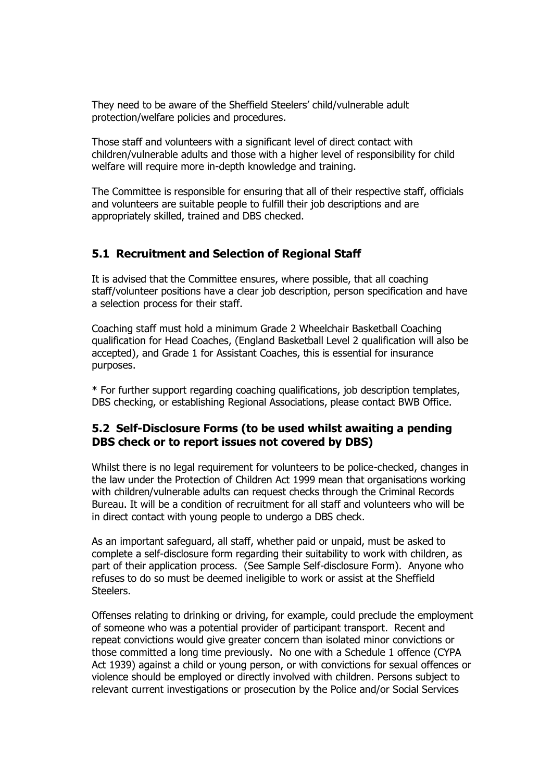They need to be aware of the Sheffield Steelers' child/vulnerable adult protection/welfare policies and procedures.

Those staff and volunteers with a significant level of direct contact with children/vulnerable adults and those with a higher level of responsibility for child welfare will require more in-depth knowledge and training.

The Committee is responsible for ensuring that all of their respective staff, officials and volunteers are suitable people to fulfill their job descriptions and are appropriately skilled, trained and DBS checked.

### **5.1 Recruitment and Selection of Regional Staff**

It is advised that the Committee ensures, where possible, that all coaching staff/volunteer positions have a clear job description, person specification and have a selection process for their staff.

Coaching staff must hold a minimum Grade 2 Wheelchair Basketball Coaching qualification for Head Coaches, (England Basketball Level 2 qualification will also be accepted), and Grade 1 for Assistant Coaches, this is essential for insurance purposes.

\* For further support regarding coaching qualifications, job description templates, DBS checking, or establishing Regional Associations, please contact BWB Office.

### **5.2 Self-Disclosure Forms (to be used whilst awaiting a pending DBS check or to report issues not covered by DBS)**

Whilst there is no legal requirement for volunteers to be police-checked, changes in the law under the Protection of Children Act 1999 mean that organisations working with children/vulnerable adults can request checks through the Criminal Records Bureau. It will be a condition of recruitment for all staff and volunteers who will be in direct contact with young people to undergo a DBS check.

As an important safeguard, all staff, whether paid or unpaid, must be asked to complete a self-disclosure form regarding their suitability to work with children, as part of their application process. (See Sample Self-disclosure Form). Anyone who refuses to do so must be deemed ineligible to work or assist at the Sheffield Steelers.

Offenses relating to drinking or driving, for example, could preclude the employment of someone who was a potential provider of participant transport. Recent and repeat convictions would give greater concern than isolated minor convictions or those committed a long time previously. No one with a Schedule 1 offence (CYPA Act 1939) against a child or young person, or with convictions for sexual offences or violence should be employed or directly involved with children. Persons subject to relevant current investigations or prosecution by the Police and/or Social Services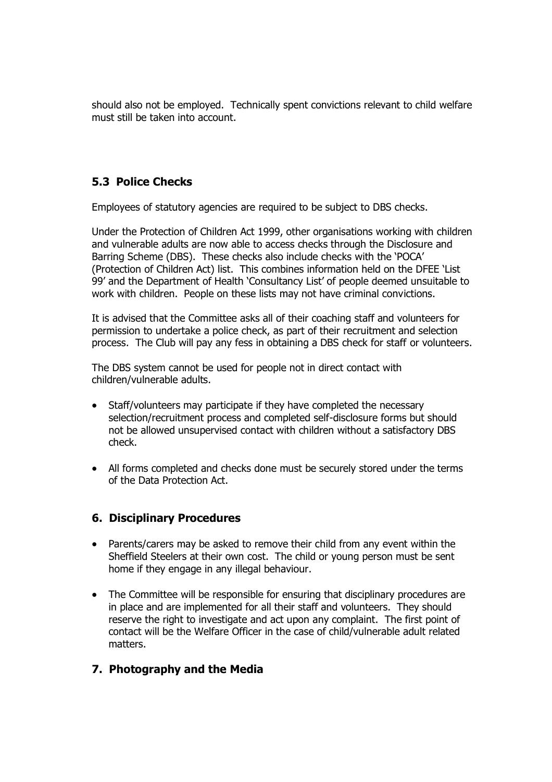should also not be employed. Technically spent convictions relevant to child welfare must still be taken into account.

# **5.3 Police Checks**

Employees of statutory agencies are required to be subject to DBS checks.

Under the Protection of Children Act 1999, other organisations working with children and vulnerable adults are now able to access checks through the Disclosure and Barring Scheme (DBS). These checks also include checks with the 'POCA' (Protection of Children Act) list. This combines information held on the DFEE 'List 99' and the Department of Health 'Consultancy List' of people deemed unsuitable to work with children. People on these lists may not have criminal convictions.

It is advised that the Committee asks all of their coaching staff and volunteers for permission to undertake a police check, as part of their recruitment and selection process. The Club will pay any fess in obtaining a DBS check for staff or volunteers.

The DBS system cannot be used for people not in direct contact with children/vulnerable adults.

- Staff/volunteers may participate if they have completed the necessary selection/recruitment process and completed self-disclosure forms but should not be allowed unsupervised contact with children without a satisfactory DBS check.
- All forms completed and checks done must be securely stored under the terms of the Data Protection Act.

### **6. Disciplinary Procedures**

- Parents/carers may be asked to remove their child from any event within the Sheffield Steelers at their own cost. The child or young person must be sent home if they engage in any illegal behaviour.
- The Committee will be responsible for ensuring that disciplinary procedures are in place and are implemented for all their staff and volunteers. They should reserve the right to investigate and act upon any complaint. The first point of contact will be the Welfare Officer in the case of child/vulnerable adult related matters.

### **7. Photography and the Media**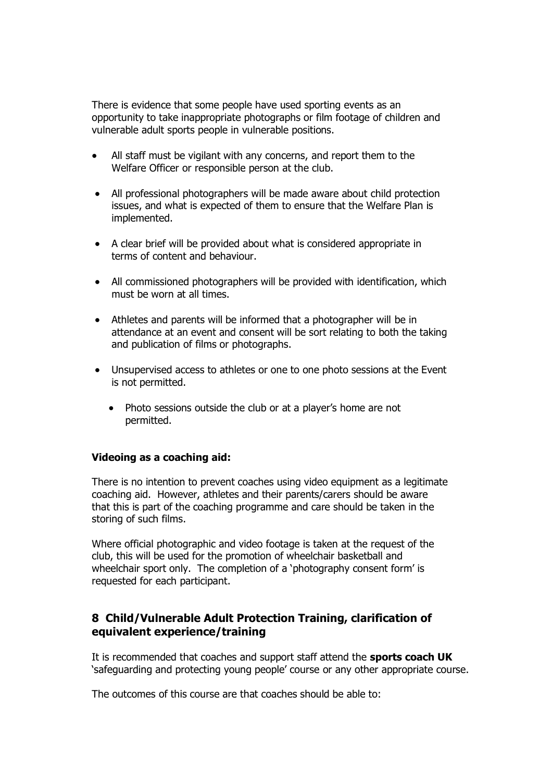There is evidence that some people have used sporting events as an opportunity to take inappropriate photographs or film footage of children and vulnerable adult sports people in vulnerable positions.

- All staff must be vigilant with any concerns, and report them to the Welfare Officer or responsible person at the club.
- All professional photographers will be made aware about child protection issues, and what is expected of them to ensure that the Welfare Plan is implemented.
- A clear brief will be provided about what is considered appropriate in terms of content and behaviour.
- All commissioned photographers will be provided with identification, which must be worn at all times.
- Athletes and parents will be informed that a photographer will be in attendance at an event and consent will be sort relating to both the taking and publication of films or photographs.
- Unsupervised access to athletes or one to one photo sessions at the Event is not permitted.
	- Photo sessions outside the club or at a player's home are not permitted.

#### **Videoing as a coaching aid:**

There is no intention to prevent coaches using video equipment as a legitimate coaching aid. However, athletes and their parents/carers should be aware that this is part of the coaching programme and care should be taken in the storing of such films.

Where official photographic and video footage is taken at the request of the club, this will be used for the promotion of wheelchair basketball and wheelchair sport only. The completion of a 'photography consent form' is requested for each participant.

### **8 Child/Vulnerable Adult Protection Training, clarification of equivalent experience/training**

It is recommended that coaches and support staff attend the **sports coach UK** 'safeguarding and protecting young people' course or any other appropriate course.

The outcomes of this course are that coaches should be able to: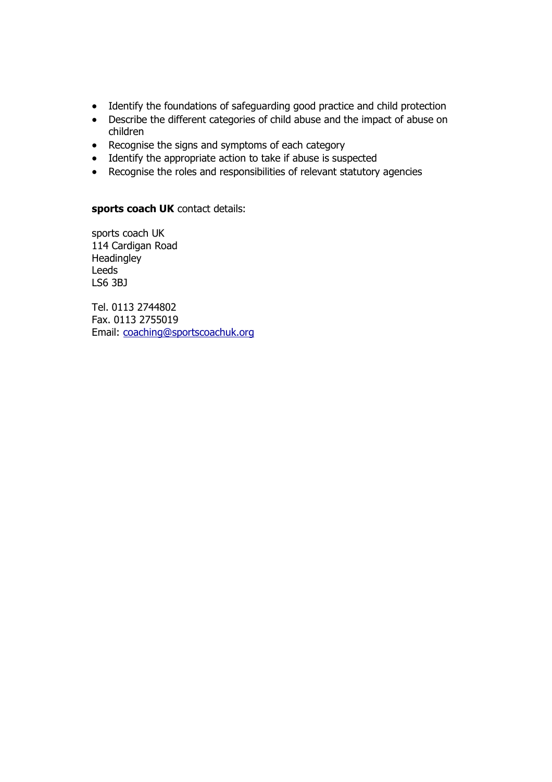- Identify the foundations of safeguarding good practice and child protection
- Describe the different categories of child abuse and the impact of abuse on children
- Recognise the signs and symptoms of each category
- Identify the appropriate action to take if abuse is suspected
- Recognise the roles and responsibilities of relevant statutory agencies

#### **sports coach UK** contact details:

sports coach UK 114 Cardigan Road **Headingley** Leeds LS6 3BJ

Tel. 0113 2744802 Fax. 0113 2755019 Email: [coaching@sportscoachuk.org](mailto:coaching@sportscoachuk.org)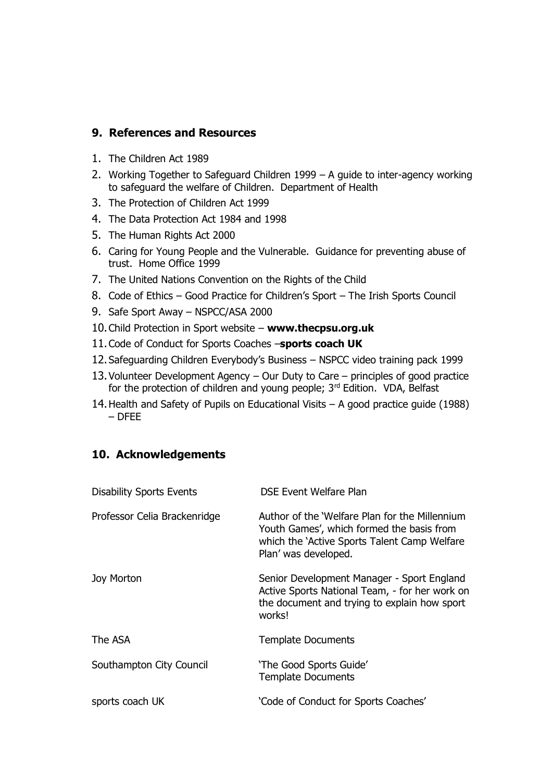### **9. References and Resources**

- 1. The Children Act 1989
- 2. Working Together to Safeguard Children 1999 A guide to inter-agency working to safeguard the welfare of Children. Department of Health
- 3. The Protection of Children Act 1999
- 4. The Data Protection Act 1984 and 1998
- 5. The Human Rights Act 2000
- 6. Caring for Young People and the Vulnerable. Guidance for preventing abuse of trust. Home Office 1999
- 7. The United Nations Convention on the Rights of the Child
- 8. Code of Ethics Good Practice for Children's Sport The Irish Sports Council
- 9. Safe Sport Away NSPCC/ASA 2000
- 10.Child Protection in Sport website **[www.thecpsu.org.uk](http://www.thecpsu.org.uk/)**
- 11.Code of Conduct for Sports Coaches –**sports coach UK**
- 12.Safeguarding Children Everybody's Business NSPCC video training pack 1999
- 13.Volunteer Development Agency Our Duty to Care principles of good practice for the protection of children and young people; 3<sup>rd</sup> Edition. VDA, Belfast
- 14.Health and Safety of Pupils on Educational Visits A good practice guide (1988) – DFEE

### **10. Acknowledgements**

| <b>Disability Sports Events</b> | DSE Event Welfare Plan                                                                                                                                              |
|---------------------------------|---------------------------------------------------------------------------------------------------------------------------------------------------------------------|
| Professor Celia Brackenridge    | Author of the 'Welfare Plan for the Millennium<br>Youth Games', which formed the basis from<br>which the 'Active Sports Talent Camp Welfare<br>Plan' was developed. |
| Joy Morton                      | Senior Development Manager - Sport England<br>Active Sports National Team, - for her work on<br>the document and trying to explain how sport<br>works!              |
| The ASA                         | <b>Template Documents</b>                                                                                                                                           |
| Southampton City Council        | 'The Good Sports Guide'<br><b>Template Documents</b>                                                                                                                |
| sports coach UK                 | 'Code of Conduct for Sports Coaches'                                                                                                                                |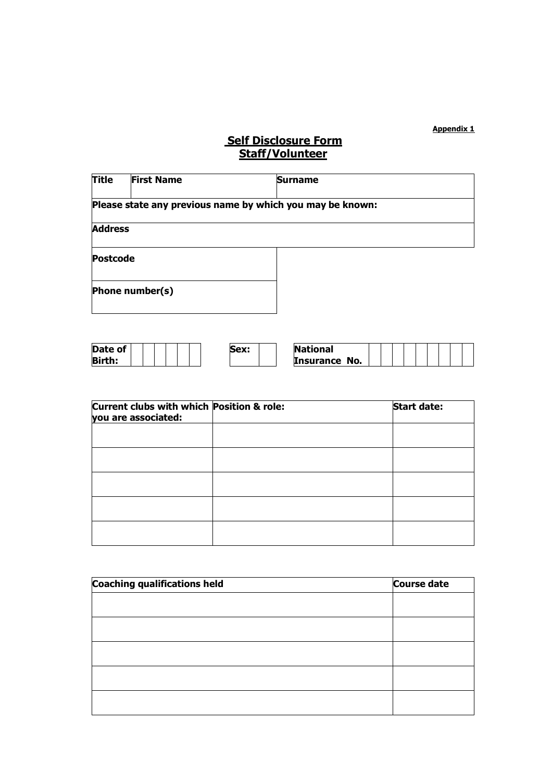#### **Appendix 1**

# **Self Disclosure Form Staff/Volunteer**

| <b>Title</b>   | <b>First Name</b>                                         | <b>Surname</b> |  |  |  |  |
|----------------|-----------------------------------------------------------|----------------|--|--|--|--|
|                | Please state any previous name by which you may be known: |                |  |  |  |  |
| <b>Address</b> |                                                           |                |  |  |  |  |
|                | <b>Postcode</b>                                           |                |  |  |  |  |
|                | Phone number(s)                                           |                |  |  |  |  |

| Date of       | Sex: | <b>National</b>         |  |  |  |  |
|---------------|------|-------------------------|--|--|--|--|
| <b>Birth:</b> |      | No.<br><b>Insurance</b> |  |  |  |  |

| Current clubs with which Position & role:<br>you are associated: | <b>Start date:</b> |
|------------------------------------------------------------------|--------------------|
|                                                                  |                    |
|                                                                  |                    |
|                                                                  |                    |
|                                                                  |                    |
|                                                                  |                    |

| <b>Coaching qualifications held</b> | <b>Course date</b> |
|-------------------------------------|--------------------|
|                                     |                    |
|                                     |                    |
|                                     |                    |
|                                     |                    |
|                                     |                    |
|                                     |                    |
|                                     |                    |
|                                     |                    |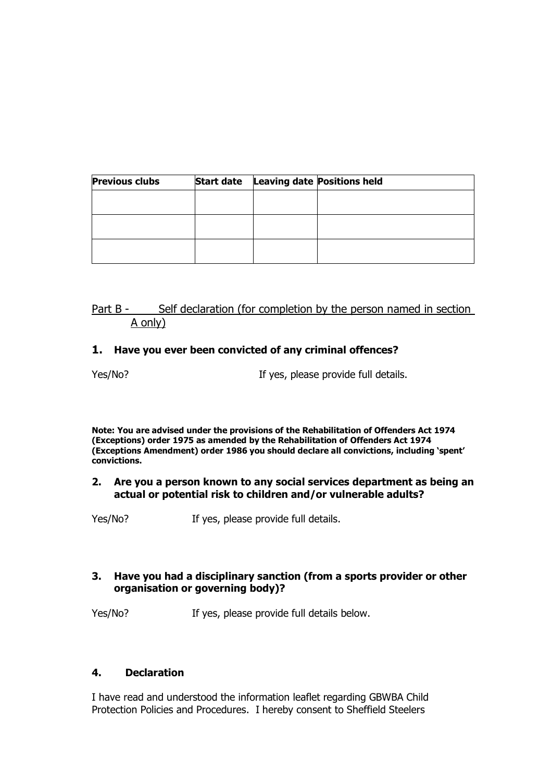| <b>Previous clubs</b> | <b>Start date</b> | <b>Leaving date Positions held</b> |
|-----------------------|-------------------|------------------------------------|
|                       |                   |                                    |
|                       |                   |                                    |
|                       |                   |                                    |
|                       |                   |                                    |
|                       |                   |                                    |

### Part B - Self declaration (for completion by the person named in section A only)

#### **1. Have you ever been convicted of any criminal offences?**

Yes/No? If yes, please provide full details.

**Note: You are advised under the provisions of the Rehabilitation of Offenders Act 1974 (Exceptions) order 1975 as amended by the Rehabilitation of Offenders Act 1974 (Exceptions Amendment) order 1986 you should declare all convictions, including 'spent' convictions.**

#### **2. Are you a person known to any social services department as being an actual or potential risk to children and/or vulnerable adults?**

Yes/No? If yes, please provide full details.

#### **3. Have you had a disciplinary sanction (from a sports provider or other organisation or governing body)?**

Yes/No? If yes, please provide full details below.

#### **4. Declaration**

I have read and understood the information leaflet regarding GBWBA Child Protection Policies and Procedures. I hereby consent to Sheffield Steelers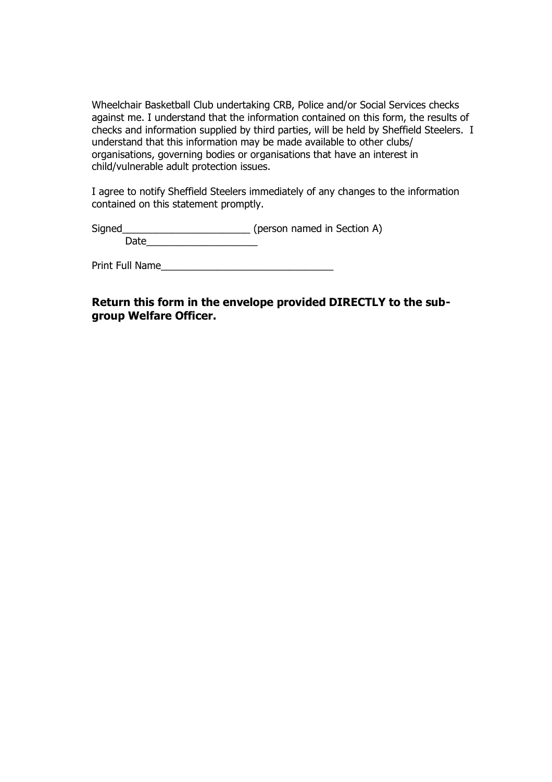Wheelchair Basketball Club undertaking CRB, Police and/or Social Services checks against me. I understand that the information contained on this form, the results of checks and information supplied by third parties, will be held by Sheffield Steelers. I understand that this information may be made available to other clubs/ organisations, governing bodies or organisations that have an interest in child/vulnerable adult protection issues.

I agree to notify Sheffield Steelers immediately of any changes to the information contained on this statement promptly.

Signed\_\_\_\_\_\_\_\_\_\_\_\_\_\_\_\_\_\_\_\_\_\_\_ (person named in Section A) Date\_\_\_\_\_\_\_\_\_\_\_\_\_\_\_\_\_\_\_\_

Print Full Name\_\_\_\_\_\_\_\_\_\_\_\_\_\_\_\_\_\_\_\_\_\_\_\_\_\_\_\_\_\_\_

### **Return this form in the envelope provided DIRECTLY to the subgroup Welfare Officer.**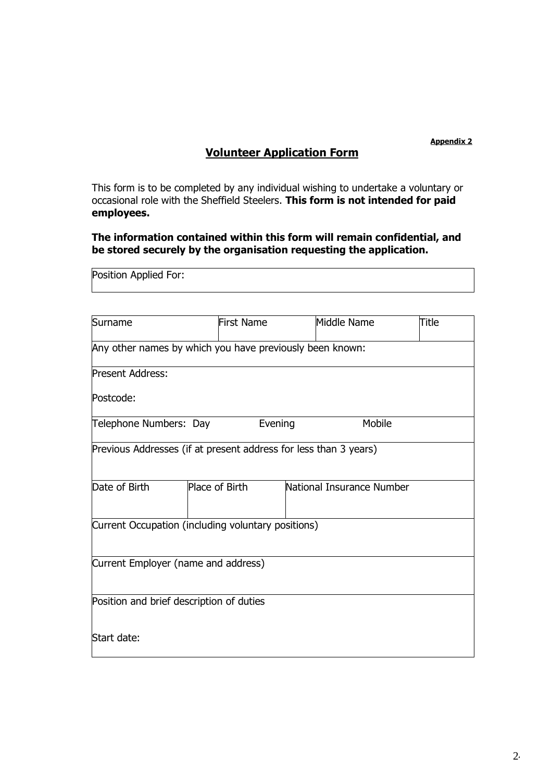#### **Appendix 2**

# **Volunteer Application Form**

This form is to be completed by any individual wishing to undertake a voluntary or occasional role with the Sheffield Steelers. **This form is not intended for paid employees.** 

### **The information contained within this form will remain confidential, and be stored securely by the organisation requesting the application.**

| Position Applied For:                                            |                   |                           |       |  |  |
|------------------------------------------------------------------|-------------------|---------------------------|-------|--|--|
|                                                                  |                   |                           |       |  |  |
| Surname                                                          | <b>First Name</b> | Middle Name               | Title |  |  |
| Any other names by which you have previously been known:         |                   |                           |       |  |  |
| <b>Present Address:</b>                                          |                   |                           |       |  |  |
| Postcode:                                                        |                   |                           |       |  |  |
| Telephone Numbers: Day                                           | Evening           | Mobile                    |       |  |  |
| Previous Addresses (if at present address for less than 3 years) |                   |                           |       |  |  |
| Date of Birth                                                    | Place of Birth    | National Insurance Number |       |  |  |
| Current Occupation (including voluntary positions)               |                   |                           |       |  |  |
| Current Employer (name and address)                              |                   |                           |       |  |  |
| Position and brief description of duties                         |                   |                           |       |  |  |
| Start date:                                                      |                   |                           |       |  |  |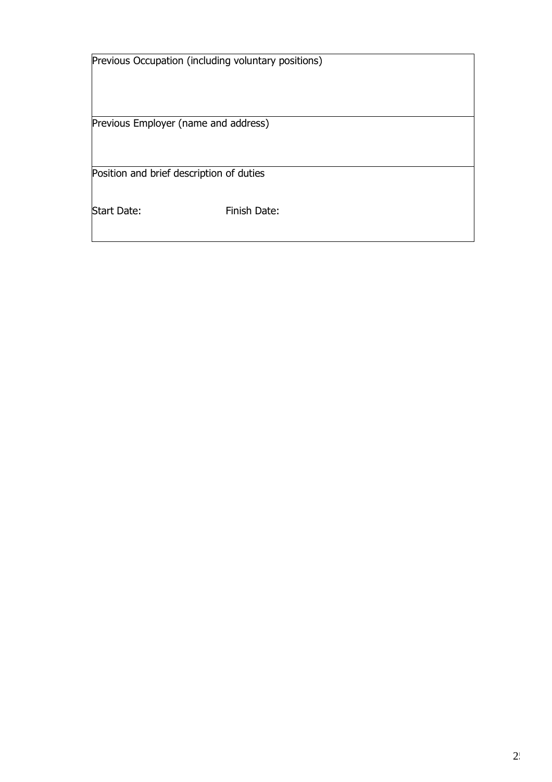| Previous Occupation (including voluntary positions) |              |
|-----------------------------------------------------|--------------|
|                                                     |              |
| Previous Employer (name and address)                |              |
| Position and brief description of duties            |              |
|                                                     |              |
| <b>Start Date:</b>                                  | Finish Date: |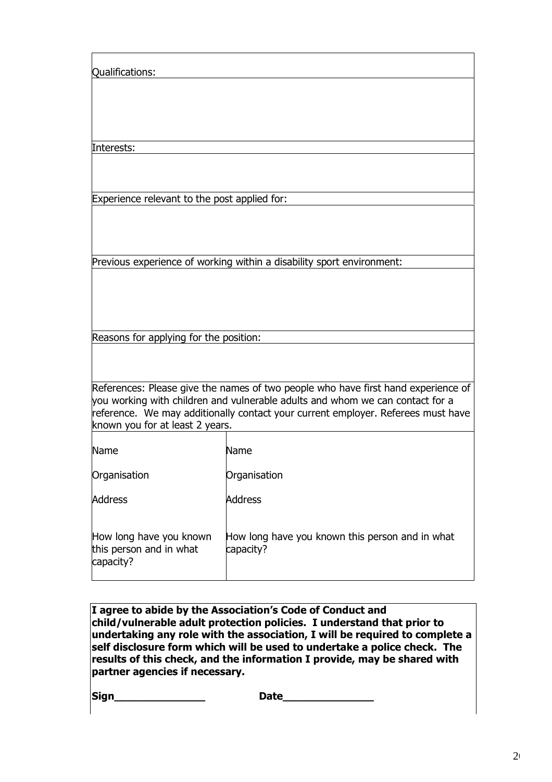| Qualifications:                                                 |                                                                                                                                                                                                                                                        |
|-----------------------------------------------------------------|--------------------------------------------------------------------------------------------------------------------------------------------------------------------------------------------------------------------------------------------------------|
|                                                                 |                                                                                                                                                                                                                                                        |
|                                                                 |                                                                                                                                                                                                                                                        |
|                                                                 |                                                                                                                                                                                                                                                        |
| Interests:                                                      |                                                                                                                                                                                                                                                        |
|                                                                 |                                                                                                                                                                                                                                                        |
| Experience relevant to the post applied for:                    |                                                                                                                                                                                                                                                        |
|                                                                 |                                                                                                                                                                                                                                                        |
|                                                                 | Previous experience of working within a disability sport environment:                                                                                                                                                                                  |
|                                                                 |                                                                                                                                                                                                                                                        |
|                                                                 |                                                                                                                                                                                                                                                        |
| Reasons for applying for the position:                          |                                                                                                                                                                                                                                                        |
|                                                                 |                                                                                                                                                                                                                                                        |
| known you for at least 2 years.                                 | References: Please give the names of two people who have first hand experience of<br>you working with children and vulnerable adults and whom we can contact for a<br>reference. We may additionally contact your current employer. Referees must have |
| <b>Name</b>                                                     | Name                                                                                                                                                                                                                                                   |
| Organisation                                                    | Organisation                                                                                                                                                                                                                                           |
| <b>Address</b>                                                  | <b>Address</b>                                                                                                                                                                                                                                         |
| How long have you known<br>this person and in what<br>capacity? | How long have you known this person and in what<br>capacity?                                                                                                                                                                                           |

| I agree to abide by the Association's Code of Conduct and                   |
|-----------------------------------------------------------------------------|
| child/vulnerable adult protection policies. I understand that prior to      |
| undertaking any role with the association, I will be required to complete a |
| self disclosure form which will be used to undertake a police check. The    |
| results of this check, and the information I provide, may be shared with    |
| partner agencies if necessary.                                              |

**Sign\_\_\_\_\_\_\_\_\_\_\_\_\_\_ Date\_\_\_\_\_\_\_\_\_\_\_\_\_\_**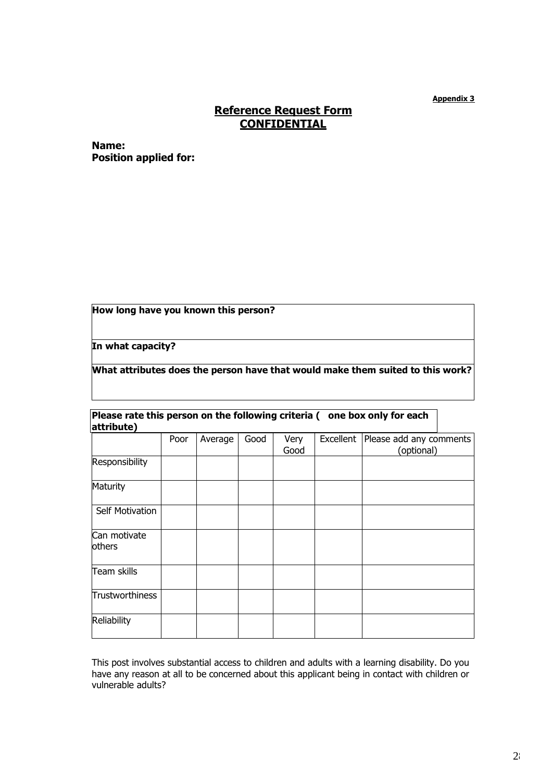**Appendix 3**

### **Reference Request Form CONFIDENTIAL**

**Name: Position applied for:**

**How long have you known this person?**

**In what capacity?**

**What attributes does the person have that would make them suited to this work?**

| Please rate this person on the following criteria ( one box only for each |  |
|---------------------------------------------------------------------------|--|
| attribute)                                                                |  |

|                        | Poor | Average | Good | Very<br>Good | Excellent   Please add any comments<br>(optional) |
|------------------------|------|---------|------|--------------|---------------------------------------------------|
| Responsibility         |      |         |      |              |                                                   |
| Maturity               |      |         |      |              |                                                   |
| Self Motivation        |      |         |      |              |                                                   |
| Can motivate<br>others |      |         |      |              |                                                   |
| Team skills            |      |         |      |              |                                                   |
| Trustworthiness        |      |         |      |              |                                                   |
| Reliability            |      |         |      |              |                                                   |

This post involves substantial access to children and adults with a learning disability. Do you have any reason at all to be concerned about this applicant being in contact with children or vulnerable adults?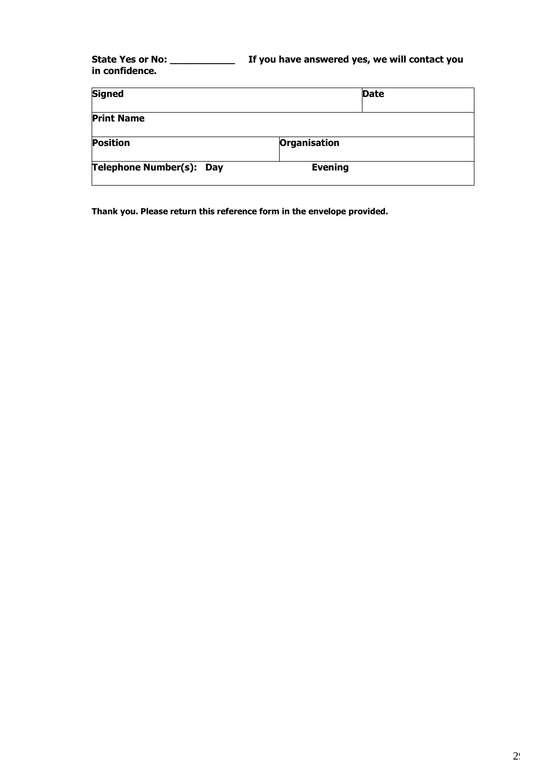### **State Yes or No: \_\_\_\_\_\_\_\_\_\_\_ If you have answered yes, we will contact you in confidence.**

| <b>Signed</b>            |                     | <b>Date</b> |
|--------------------------|---------------------|-------------|
| <b>Print Name</b>        |                     |             |
| <b>Position</b>          | <b>Organisation</b> |             |
| Telephone Number(s): Day | <b>Evening</b>      |             |

**Thank you. Please return this reference form in the envelope provided.**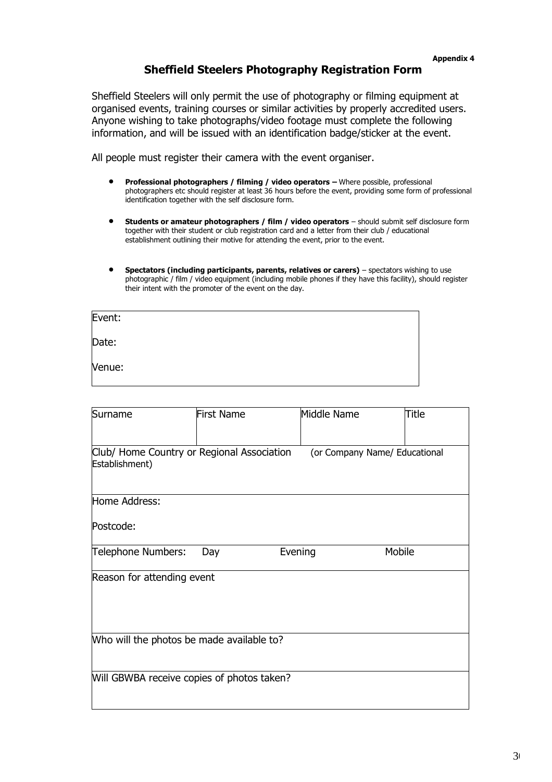### **Sheffield Steelers Photography Registration Form**

Sheffield Steelers will only permit the use of photography or filming equipment at organised events, training courses or similar activities by properly accredited users. Anyone wishing to take photographs/video footage must complete the following information, and will be issued with an identification badge/sticker at the event.

All people must register their camera with the event organiser.

- **Professional photographers / filming / video operators –** Where possible, professional photographers etc should register at least 36 hours before the event, providing some form of professional identification together with the self disclosure form.
- **Students or amateur photographers / film / video operators**  should submit self disclosure form together with their student or club registration card and a letter from their club / educational establishment outlining their motive for attending the event, prior to the event.
- **Spectators (including participants, parents, relatives or carers)** spectators wishing to use photographic / film / video equipment (including mobile phones if they have this facility), should register their intent with the promoter of the event on the day.

| Event: |  |  |
|--------|--|--|
| Date:  |  |  |
| Venue: |  |  |

| Surname                                                      | <b>First Name</b> | Middle Name |                               | Title |
|--------------------------------------------------------------|-------------------|-------------|-------------------------------|-------|
| Club/ Home Country or Regional Association<br>Establishment) |                   |             | (or Company Name/ Educational |       |
| Home Address:                                                |                   |             |                               |       |
| Postcode:                                                    |                   |             |                               |       |
| Telephone Numbers:                                           | Day               | Evening     | Mobile                        |       |
| Reason for attending event                                   |                   |             |                               |       |
| Who will the photos be made available to?                    |                   |             |                               |       |
| Will GBWBA receive copies of photos taken?                   |                   |             |                               |       |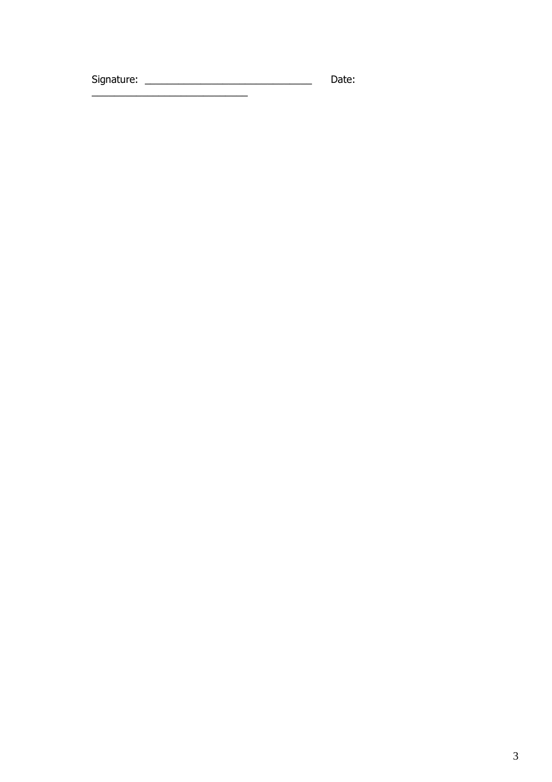Date: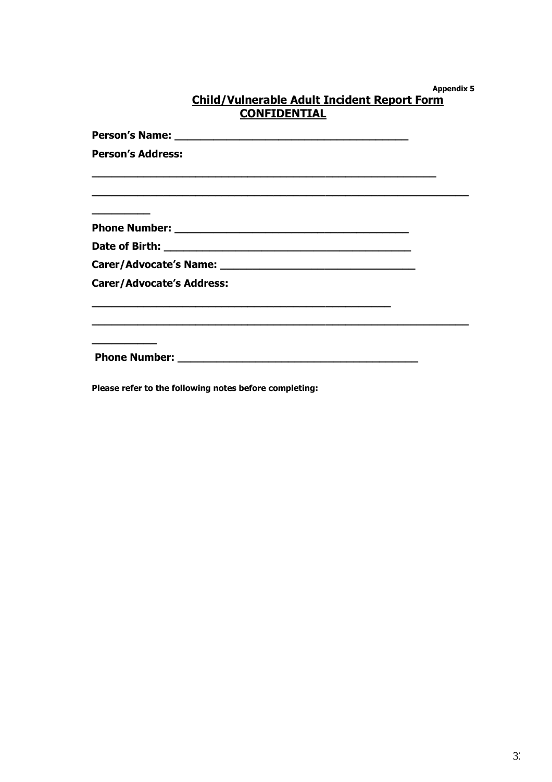**Appendix 5**

|                                             | ----- |
|---------------------------------------------|-------|
| Child/Vulnerable Adult Incident Report Form |       |
| <b>CONFIDENTIAL</b>                         |       |

**Person's Name: \_\_\_\_\_\_\_\_\_\_\_\_\_\_\_\_\_\_\_\_\_\_\_\_\_\_\_\_\_\_\_\_\_\_\_\_ Person's Address: \_\_\_\_\_\_\_\_\_\_\_\_\_\_\_\_\_\_\_\_\_\_\_\_\_\_\_\_\_\_\_\_\_\_\_\_\_\_\_\_\_\_\_\_\_\_\_\_\_\_\_\_\_ \_\_\_\_\_\_\_\_\_\_\_\_\_\_\_\_\_\_\_\_\_\_\_\_\_\_\_\_\_\_\_\_\_\_\_\_\_\_\_\_\_\_\_\_\_\_\_\_\_\_\_\_\_\_\_\_\_\_ \_\_\_\_\_\_\_\_\_ Phone Number: \_\_\_\_\_\_\_\_\_\_\_\_\_\_\_\_\_\_\_\_\_\_\_\_\_\_\_\_\_\_\_\_\_\_\_\_ Date of Birth: \_\_\_\_\_\_\_\_\_\_\_\_\_\_\_\_\_\_\_\_\_\_\_\_\_\_\_\_\_\_\_\_\_\_\_\_\_\_ Carer/Advocate's Name: \_\_\_\_\_\_\_\_\_\_\_\_\_\_\_\_\_\_\_\_\_\_\_\_\_\_\_\_\_\_ Carer/Advocate's Address: \_\_\_\_\_\_\_\_\_\_\_\_\_\_\_\_\_\_\_\_\_\_\_\_\_\_\_\_\_\_\_\_\_\_\_\_\_\_\_\_\_\_\_\_\_\_ \_\_\_\_\_\_\_\_\_\_\_\_\_\_\_\_\_\_\_\_\_\_\_\_\_\_\_\_\_\_\_\_\_\_\_\_\_\_\_\_\_\_\_\_\_\_\_\_\_\_\_\_\_\_\_\_\_\_ \_\_\_\_\_\_\_\_\_\_ Phone Number: \_\_\_\_\_\_\_\_\_\_\_\_\_\_\_\_\_\_\_\_\_\_\_\_\_\_\_\_\_\_\_\_\_\_\_\_\_ Please refer to the following notes before completing:**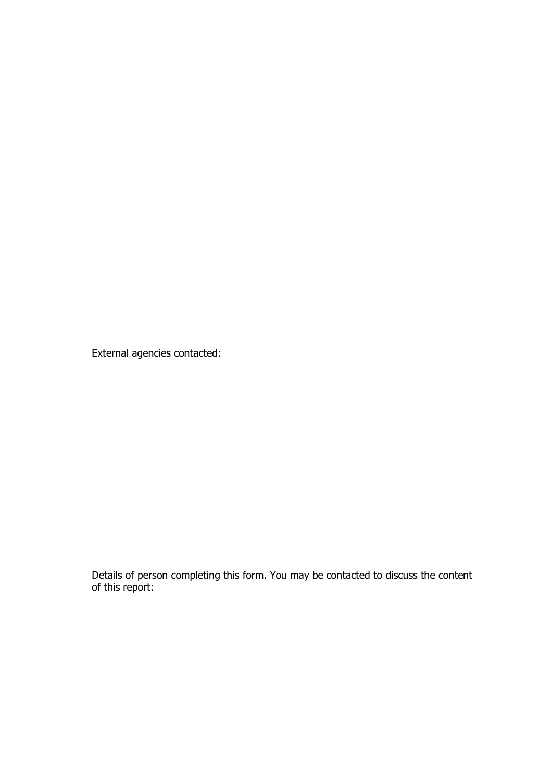External agencies contacted:

Details of person completing this form. You may be contacted to discuss the content of this report: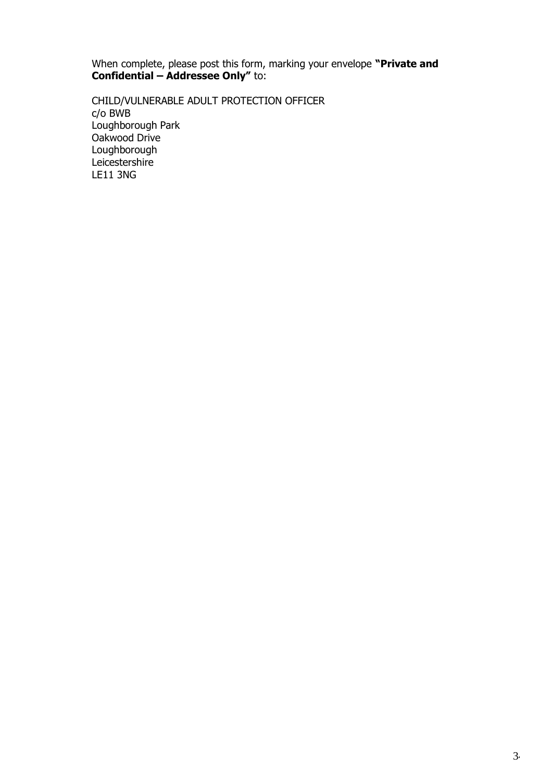When complete, please post this form, marking your envelope **"Private and Confidential – Addressee Only"** to:

CHILD/VULNERABLE ADULT PROTECTION OFFICER c/o BWB Loughborough Park Oakwood Drive Loughborough Leicestershire LE11 3NG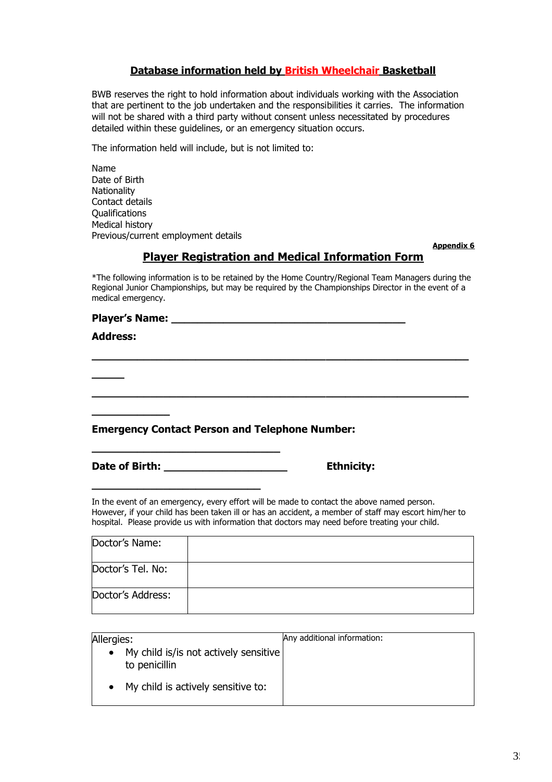### **Database information held by British Wheelchair Basketball**

BWB reserves the right to hold information about individuals working with the Association that are pertinent to the job undertaken and the responsibilities it carries. The information will not be shared with a third party without consent unless necessitated by procedures detailed within these guidelines, or an emergency situation occurs.

The information held will include, but is not limited to:

Name Date of Birth **Nationality** Contact details Qualifications Medical history Previous/current employment details

**Appendix 6**

#### **Player Registration and Medical Information Form**

\*The following information is to be retained by the Home Country/Regional Team Managers during the Regional Junior Championships, but may be required by the Championships Director in the event of a medical emergency.

**\_\_\_\_\_\_\_\_\_\_\_\_\_\_\_\_\_\_\_\_\_\_\_\_\_\_\_\_\_\_\_\_\_\_\_\_\_\_\_\_\_\_\_\_\_\_\_\_\_\_\_\_\_\_\_\_\_\_**

**\_\_\_\_\_\_\_\_\_\_\_\_\_\_\_\_\_\_\_\_\_\_\_\_\_\_\_\_\_\_\_\_\_\_\_\_\_\_\_\_\_\_\_\_\_\_\_\_\_\_\_\_\_\_\_\_\_\_**

#### **Player's Name:**  $\blacksquare$

#### **Address:**

**\_\_\_\_\_**

#### **Emergency Contact Person and Telephone Number:**

**\_\_\_\_\_\_\_\_\_\_\_\_\_\_\_\_\_\_\_\_\_\_\_\_\_\_\_\_\_**

**\_\_\_\_\_\_\_\_\_\_\_\_\_\_\_\_\_\_\_\_\_\_\_\_\_\_**

|  | Date of Birth: |  |
|--|----------------|--|
|  |                |  |

**\_\_\_\_\_\_\_\_\_\_\_\_**

**Ethnicity:** 

In the event of an emergency, every effort will be made to contact the above named person. However, if your child has been taken ill or has an accident, a member of staff may escort him/her to hospital. Please provide us with information that doctors may need before treating your child.

| Doctor's Name:    |  |
|-------------------|--|
| Doctor's Tel. No: |  |
| Doctor's Address: |  |

| Allergies:                                                          | Any additional information: |
|---------------------------------------------------------------------|-----------------------------|
| My child is/is not actively sensitive<br>$\bullet$<br>to penicillin |                             |
| My child is actively sensitive to:                                  |                             |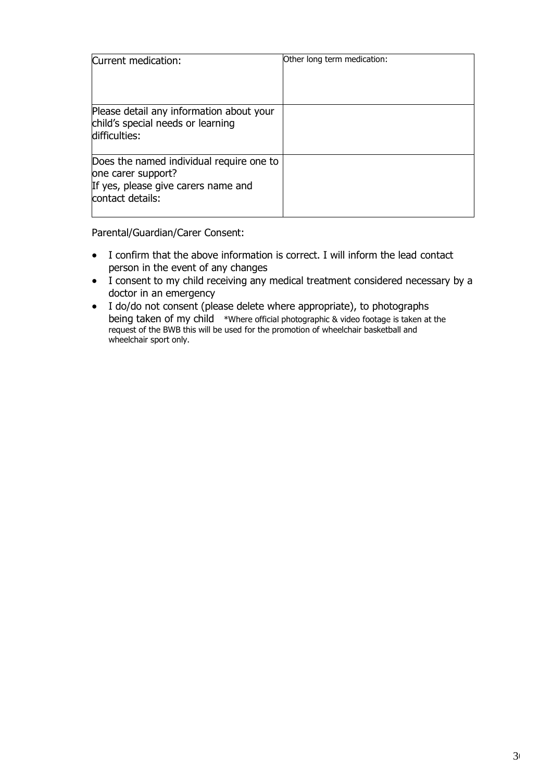| Current medication:                                                                                                       | Other long term medication: |
|---------------------------------------------------------------------------------------------------------------------------|-----------------------------|
| Please detail any information about your<br>child's special needs or learning<br>difficulties:                            |                             |
| Does the named individual require one to<br>one carer support?<br>If yes, please give carers name and<br>contact details: |                             |

Parental/Guardian/Carer Consent:

- I confirm that the above information is correct. I will inform the lead contact person in the event of any changes
- I consent to my child receiving any medical treatment considered necessary by a doctor in an emergency
- I do/do not consent (please delete where appropriate), to photographs being taken of my child \*Where official photographic & video footage is taken at the request of the BWB this will be used for the promotion of wheelchair basketball and wheelchair sport only.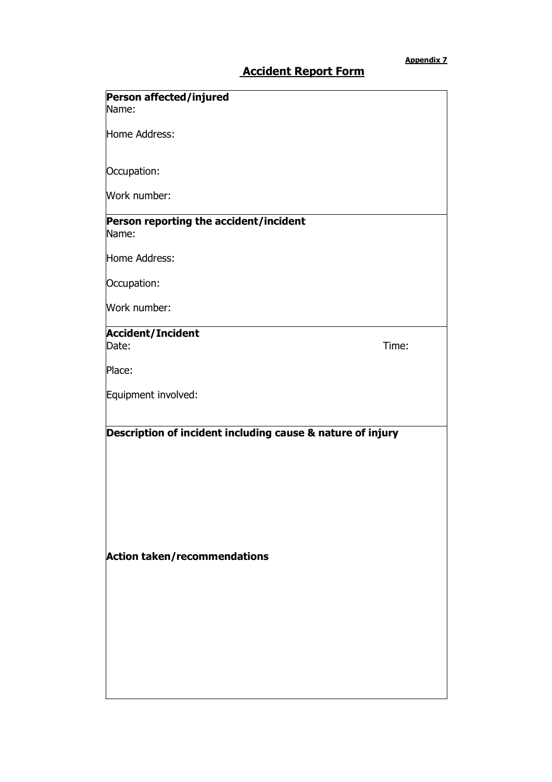# **Accident Report Form**

| Person affected/injured<br>Name:                                                                  |       |
|---------------------------------------------------------------------------------------------------|-------|
| Home Address:                                                                                     |       |
| Occupation:                                                                                       |       |
| Work number:                                                                                      |       |
| Person reporting the accident/incident<br>Name:                                                   |       |
| Home Address:                                                                                     |       |
| Occupation:                                                                                       |       |
| Work number:                                                                                      |       |
| <b>Accident/Incident</b><br>Date:                                                                 | Time: |
| Place:                                                                                            |       |
| Equipment involved:                                                                               |       |
| Description of incident including cause & nature of injury<br><b>Action taken/recommendations</b> |       |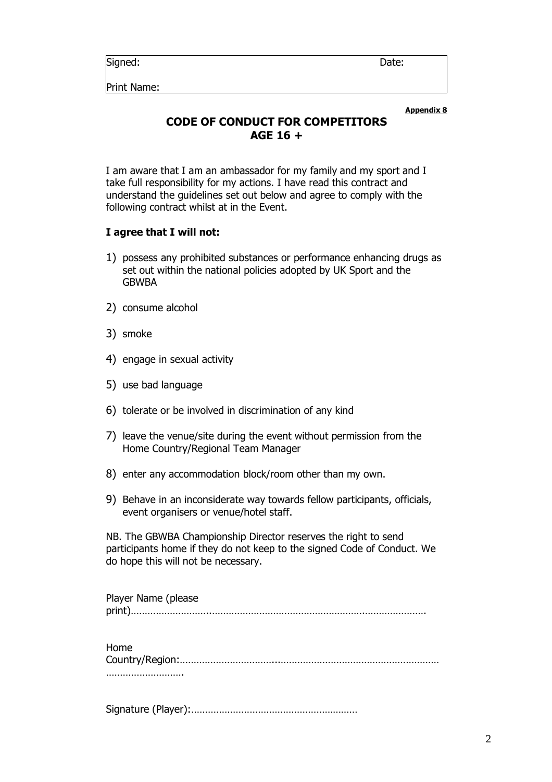Signed: **Date:** Date: **Date:** Date: **Date:** 2014

Print Name:

**Appendix 8**

# **CODE OF CONDUCT FOR COMPETITORS AGE 16 +**

I am aware that I am an ambassador for my family and my sport and I take full responsibility for my actions. I have read this contract and understand the guidelines set out below and agree to comply with the following contract whilst at in the Event.

### **I agree that I will not:**

- 1) possess any prohibited substances or performance enhancing drugs as set out within the national policies adopted by UK Sport and the GBWBA
- 2) consume alcohol
- 3) smoke
- 4) engage in sexual activity
- 5) use bad language
- 6) tolerate or be involved in discrimination of any kind
- 7) leave the venue/site during the event without permission from the Home Country/Regional Team Manager
- 8) enter any accommodation block/room other than my own.
- 9) Behave in an inconsiderate way towards fellow participants, officials, event organisers or venue/hotel staff.

NB. The GBWBA Championship Director reserves the right to send participants home if they do not keep to the signed Code of Conduct. We do hope this will not be necessary.

| Player Name (please |
|---------------------|
|                     |

| Home |
|------|
|      |
|      |

Signature (Player):……………………………………………………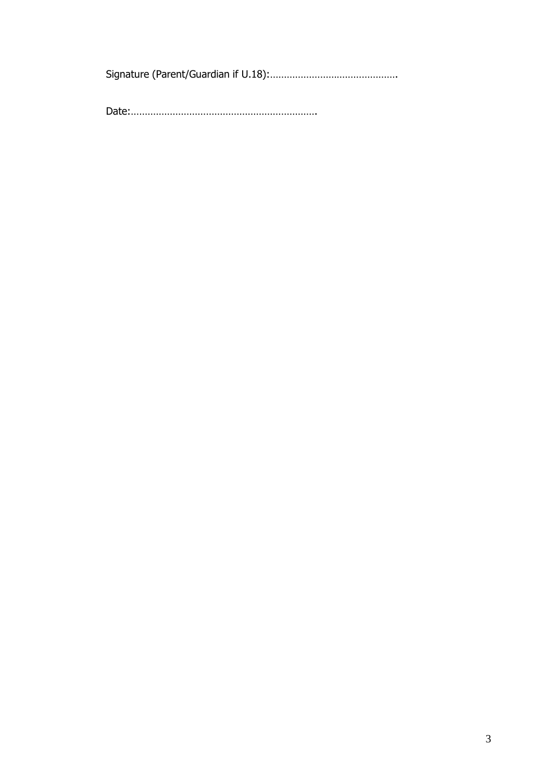Signature (Parent/Guardian if U.18):……………………………………….

Date:………………………………………………………….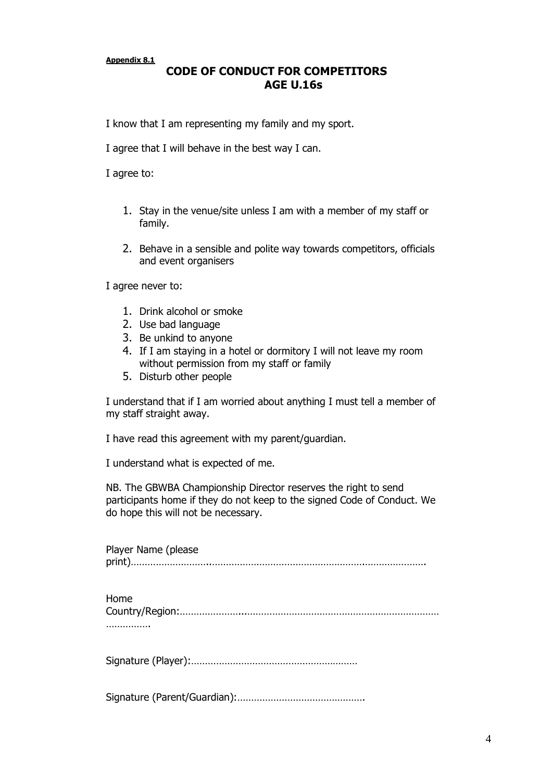**Appendix 8.1**

# **CODE OF CONDUCT FOR COMPETITORS AGE U.16s**

I know that I am representing my family and my sport.

I agree that I will behave in the best way I can.

I agree to:

- 1. Stay in the venue/site unless I am with a member of my staff or family.
- 2. Behave in a sensible and polite way towards competitors, officials and event organisers

I agree never to:

- 1. Drink alcohol or smoke
- 2. Use bad language
- 3. Be unkind to anyone
- 4. If I am staying in a hotel or dormitory I will not leave my room without permission from my staff or family
- 5. Disturb other people

I understand that if I am worried about anything I must tell a member of my staff straight away.

I have read this agreement with my parent/guardian.

I understand what is expected of me.

NB. The GBWBA Championship Director reserves the right to send participants home if they do not keep to the signed Code of Conduct. We do hope this will not be necessary.

| Player Name (please |
|---------------------|
|                     |
| Home                |
|                     |
|                     |
|                     |

Signature (Parent/Guardian):……………………………………….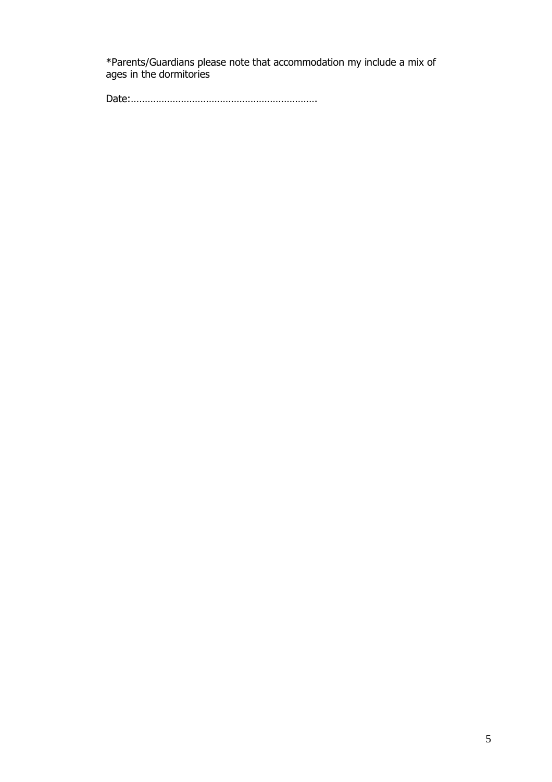\*Parents/Guardians please note that accommodation my include a mix of ages in the dormitories

Date:………………………………………………………….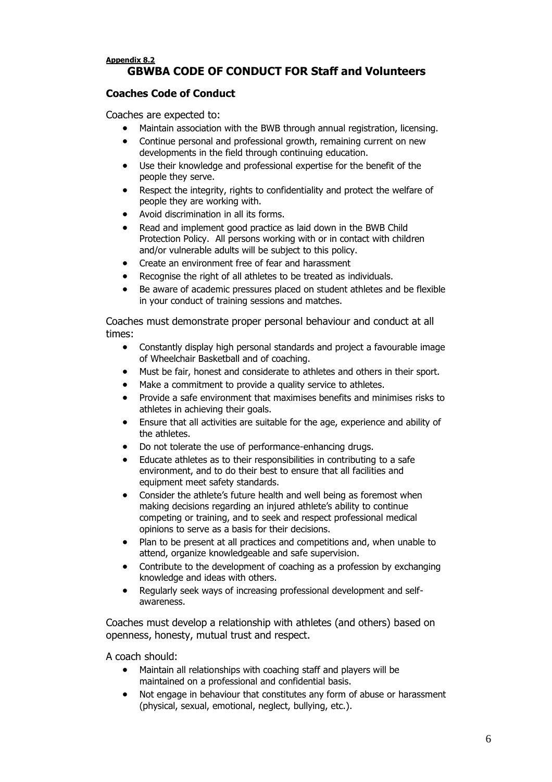#### **Appendix 8.2 GBWBA CODE OF CONDUCT FOR Staff and Volunteers**

#### **Coaches Code of Conduct**

Coaches are expected to:

- Maintain association with the BWB through annual registration, licensing.
- Continue personal and professional growth, remaining current on new developments in the field through continuing education.
- Use their knowledge and professional expertise for the benefit of the people they serve.
- Respect the integrity, rights to confidentiality and protect the welfare of people they are working with.
- Avoid discrimination in all its forms.
- Read and implement good practice as laid down in the BWB Child Protection Policy. All persons working with or in contact with children and/or vulnerable adults will be subject to this policy.
- Create an environment free of fear and harassment
- Recognise the right of all athletes to be treated as individuals.
- Be aware of academic pressures placed on student athletes and be flexible in your conduct of training sessions and matches.

Coaches must demonstrate proper personal behaviour and conduct at all times:

- Constantly display high personal standards and project a favourable image of Wheelchair Basketball and of coaching.
- Must be fair, honest and considerate to athletes and others in their sport.
- Make a commitment to provide a quality service to athletes.
- Provide a safe environment that maximises benefits and minimises risks to athletes in achieving their goals.
- Ensure that all activities are suitable for the age, experience and ability of the athletes.
- Do not tolerate the use of performance-enhancing drugs.
- Educate athletes as to their responsibilities in contributing to a safe environment, and to do their best to ensure that all facilities and equipment meet safety standards.
- Consider the athlete's future health and well being as foremost when making decisions regarding an injured athlete's ability to continue competing or training, and to seek and respect professional medical opinions to serve as a basis for their decisions.
- Plan to be present at all practices and competitions and, when unable to attend, organize knowledgeable and safe supervision.
- Contribute to the development of coaching as a profession by exchanging knowledge and ideas with others.
- Regularly seek ways of increasing professional development and selfawareness.

Coaches must develop a relationship with athletes (and others) based on openness, honesty, mutual trust and respect.

A coach should:

- Maintain all relationships with coaching staff and players will be maintained on a professional and confidential basis.
- Not engage in behaviour that constitutes any form of abuse or harassment (physical, sexual, emotional, neglect, bullying, etc.).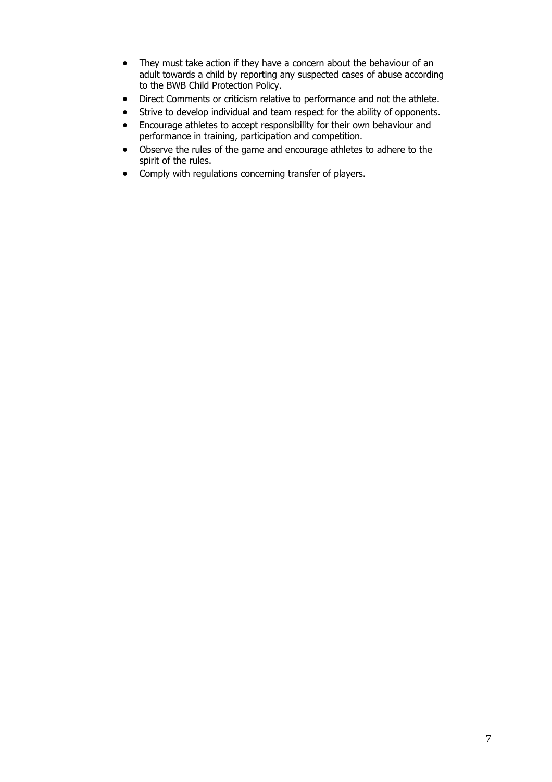- They must take action if they have a concern about the behaviour of an adult towards a child by reporting any suspected cases of abuse according to the BWB Child Protection Policy.
- Direct Comments or criticism relative to performance and not the athlete.
- Strive to develop individual and team respect for the ability of opponents.
- Encourage athletes to accept responsibility for their own behaviour and performance in training, participation and competition.
- Observe the rules of the game and encourage athletes to adhere to the spirit of the rules.
- Comply with regulations concerning transfer of players.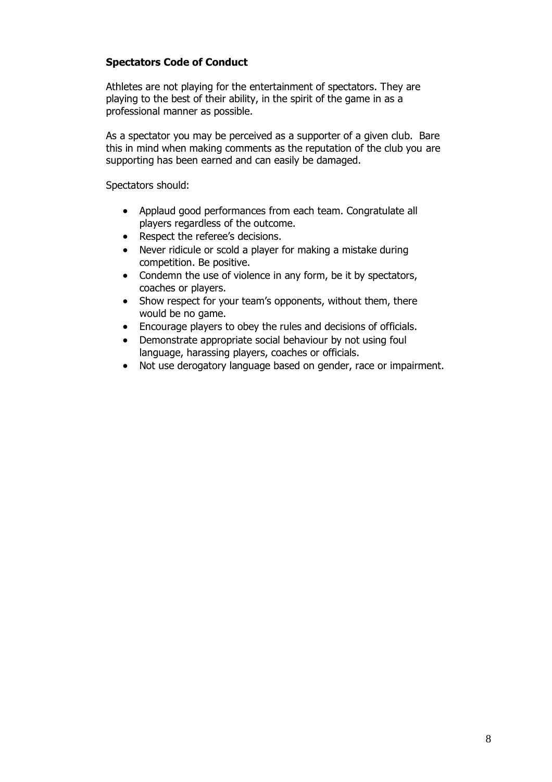#### **Spectators Code of Conduct**

Athletes are not playing for the entertainment of spectators. They are playing to the best of their ability, in the spirit of the game in as a professional manner as possible.

As a spectator you may be perceived as a supporter of a given club. Bare this in mind when making comments as the reputation of the club you are supporting has been earned and can easily be damaged.

Spectators should:

- Applaud good performances from each team. Congratulate all players regardless of the outcome.
- Respect the referee's decisions.
- Never ridicule or scold a player for making a mistake during competition. Be positive.
- Condemn the use of violence in any form, be it by spectators, coaches or players.
- Show respect for your team's opponents, without them, there would be no game.
- Encourage players to obey the rules and decisions of officials.
- Demonstrate appropriate social behaviour by not using foul language, harassing players, coaches or officials.
- Not use derogatory language based on gender, race or impairment.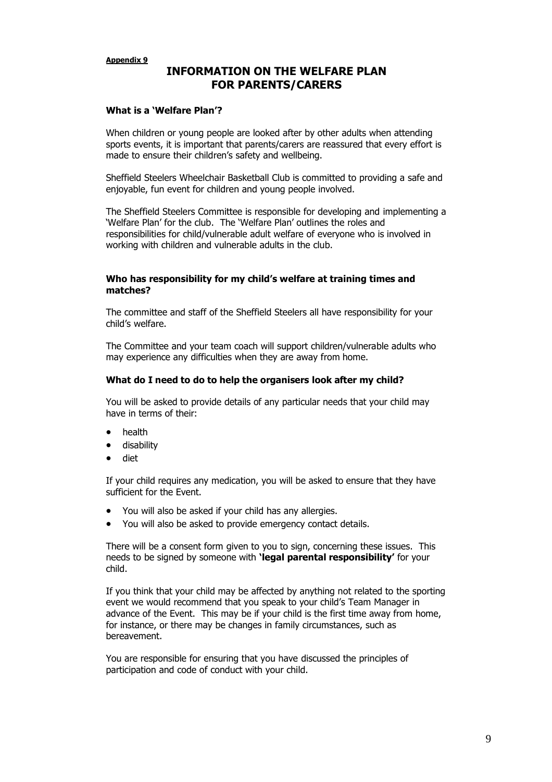### **INFORMATION ON THE WELFARE PLAN FOR PARENTS/CARERS**

#### **What is a 'Welfare Plan'?**

When children or young people are looked after by other adults when attending sports events, it is important that parents/carers are reassured that every effort is made to ensure their children's safety and wellbeing.

Sheffield Steelers Wheelchair Basketball Club is committed to providing a safe and enjoyable, fun event for children and young people involved.

The Sheffield Steelers Committee is responsible for developing and implementing a 'Welfare Plan' for the club. The 'Welfare Plan' outlines the roles and responsibilities for child/vulnerable adult welfare of everyone who is involved in working with children and vulnerable adults in the club.

#### **Who has responsibility for my child's welfare at training times and matches?**

The committee and staff of the Sheffield Steelers all have responsibility for your child's welfare.

The Committee and your team coach will support children/vulnerable adults who may experience any difficulties when they are away from home.

#### **What do I need to do to help the organisers look after my child?**

You will be asked to provide details of any particular needs that your child may have in terms of their:

- health
- disability
- diet

If your child requires any medication, you will be asked to ensure that they have sufficient for the Event.

- You will also be asked if your child has any allergies.
- You will also be asked to provide emergency contact details.

There will be a consent form given to you to sign, concerning these issues. This needs to be signed by someone with **'legal parental responsibility'** for your child.

If you think that your child may be affected by anything not related to the sporting event we would recommend that you speak to your child's Team Manager in advance of the Event. This may be if your child is the first time away from home, for instance, or there may be changes in family circumstances, such as bereavement.

You are responsible for ensuring that you have discussed the principles of participation and code of conduct with your child.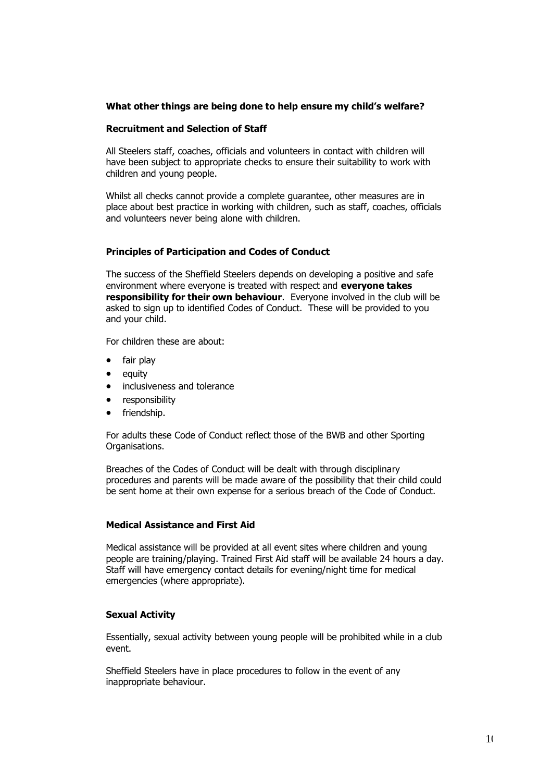#### **What other things are being done to help ensure my child's welfare?**

#### **Recruitment and Selection of Staff**

All Steelers staff, coaches, officials and volunteers in contact with children will have been subject to appropriate checks to ensure their suitability to work with children and young people.

Whilst all checks cannot provide a complete guarantee, other measures are in place about best practice in working with children, such as staff, coaches, officials and volunteers never being alone with children.

#### **Principles of Participation and Codes of Conduct**

The success of the Sheffield Steelers depends on developing a positive and safe environment where everyone is treated with respect and **everyone takes responsibility for their own behaviour**. Everyone involved in the club will be asked to sign up to identified Codes of Conduct. These will be provided to you and your child.

For children these are about:

- fair play
- equity
- inclusiveness and tolerance
- responsibility
- friendship.

For adults these Code of Conduct reflect those of the BWB and other Sporting Organisations.

Breaches of the Codes of Conduct will be dealt with through disciplinary procedures and parents will be made aware of the possibility that their child could be sent home at their own expense for a serious breach of the Code of Conduct.

#### **Medical Assistance and First Aid**

Medical assistance will be provided at all event sites where children and young people are training/playing. Trained First Aid staff will be available 24 hours a day. Staff will have emergency contact details for evening/night time for medical emergencies (where appropriate).

#### **Sexual Activity**

Essentially, sexual activity between young people will be prohibited while in a club event.

Sheffield Steelers have in place procedures to follow in the event of any inappropriate behaviour.